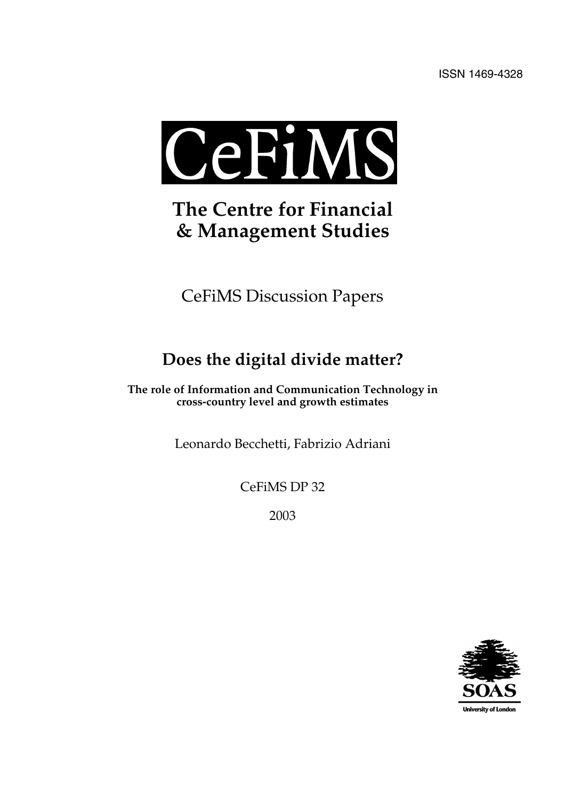

# **The Centre for Financial & Management Studies**

CeFiMS Discussion Papers

## **Does the digital divide matter?**

**The role of Information and Communication Technology in cross-country level and growth estimates**

Leonardo Becchetti, Fabrizio Adriani

CeFiMS DP 32

2003

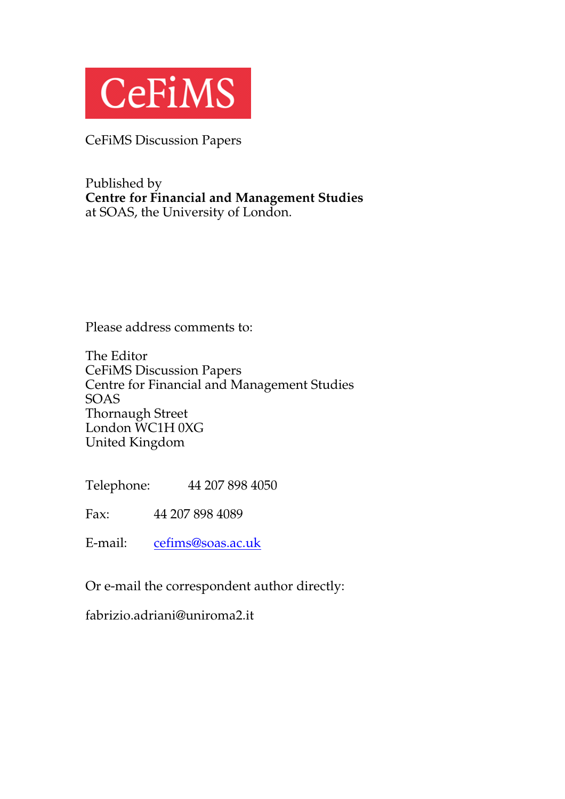

CeFiMS Discussion Papers

Published by **Centre for Financial and Management Studies** at SOAS, the University of London.

Please address comments to:

The Editor CeFiMS Discussion Papers Centre for Financial and Management Studies SOAS Thornaugh Street London WC1H 0XG United Kingdom

Telephone: 44 207 898 4050

Fax: 44 207 898 4089

E-mail: cefims@soas.ac.uk

Or e-mail the correspondent author directly:

fabrizio.adriani@uniroma2.it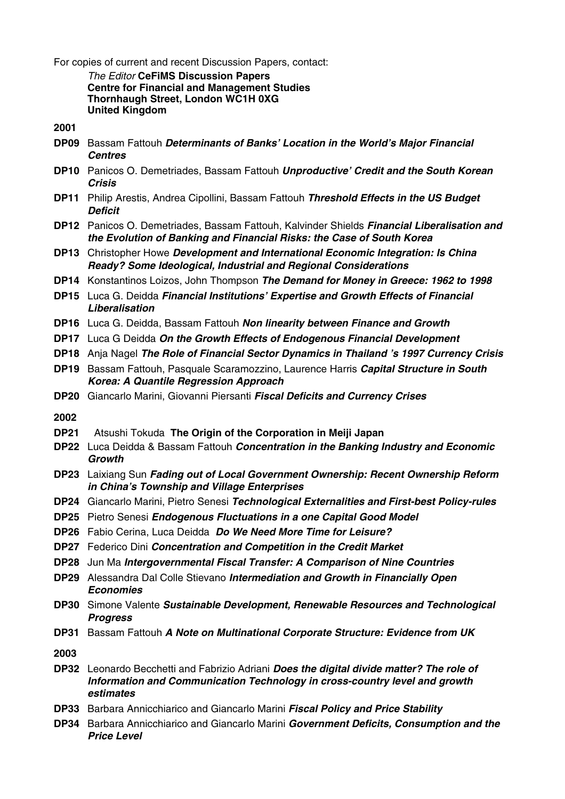For copies of current and recent Discussion Papers, contact:

*The Editor* **CeFiMS Discussion Papers Centre for Financial and Management Studies Thornhaugh Street, London WC1H 0XG United Kingdom**

**2001**

- **DP09** Bassam Fattouh *Determinants of Banks' Location in the World's Major Financial Centres*
- **DP10** Panicos O. Demetriades, Bassam Fattouh *Unproductive' Credit and the South Korean Crisis*
- **DP11** Philip Arestis, Andrea Cipollini, Bassam Fattouh *Threshold Effects in the US Budget Deficit*
- **DP12** Panicos O. Demetriades, Bassam Fattouh, Kalvinder Shields *Financial Liberalisation and the Evolution of Banking and Financial Risks: the Case of South Korea*
- **DP13** Christopher Howe *Development and International Economic Integration: Is China Ready? Some Ideological, Industrial and Regional Considerations*
- **DP14** Konstantinos Loizos, John Thompson *The Demand for Money in Greece: 1962 to 1998*
- **DP15** Luca G. Deidda *Financial Institutions' Expertise and Growth Effects of Financial Liberalisation*
- **DP16** Luca G. Deidda, Bassam Fattouh *Non linearity between Finance and Growth*
- **DP17** Luca G Deidda *On the Growth Effects of Endogenous Financial Development*
- **DP18** Anja Nagel *The Role of Financial Sector Dynamics in Thailand 's 1997 Currency Crisis*
- **DP19** Bassam Fattouh, Pasquale Scaramozzino, Laurence Harris *Capital Structure in South Korea: A Quantile Regression Approach*
- **DP20** Giancarlo Marini, Giovanni Piersanti *Fiscal Deficits and Currency Crises*
- **2002**
- **DP21** Atsushi Tokuda **The Origin of the Corporation in Meiji Japan**
- **DP22** Luca Deidda & Bassam Fattouh *Concentration in the Banking Industry and Economic Growth*
- **DP23** Laixiang Sun *Fading out of Local Government Ownership: Recent Ownership Reform in China's Township and Village Enterprises*
- **DP24** Giancarlo Marini, Pietro Senesi *Technological Externalities and First-best Policy-rules*
- **DP25** Pietro Senesi *Endogenous Fluctuations in a one Capital Good Model*
- **DP26** Fabio Cerina, Luca Deidda *Do We Need More Time for Leisure?*
- **DP27** Federico Dini *Concentration and Competition in the Credit Market*
- **DP28** Jun Ma *Intergovernmental Fiscal Transfer: A Comparison of Nine Countries*
- **DP29** Alessandra Dal Colle Stievano *Intermediation and Growth in Financially Open Economies*
- **DP30** Simone Valente *Sustainable Development, Renewable Resources and Technological Progress*
- **DP31** Bassam Fattouh *A Note on Multinational Corporate Structure: Evidence from UK*
- **2003**
- **DP32** Leonardo Becchetti and Fabrizio Adriani *Does the digital divide matter? The role of Information and Communication Technology in cross-country level and growth estimates*
- **DP33** Barbara Annicchiarico and Giancarlo Marini *Fiscal Policy and Price Stability*
- **DP34** Barbara Annicchiarico and Giancarlo Marini *Government Deficits, Consumption and the Price Level*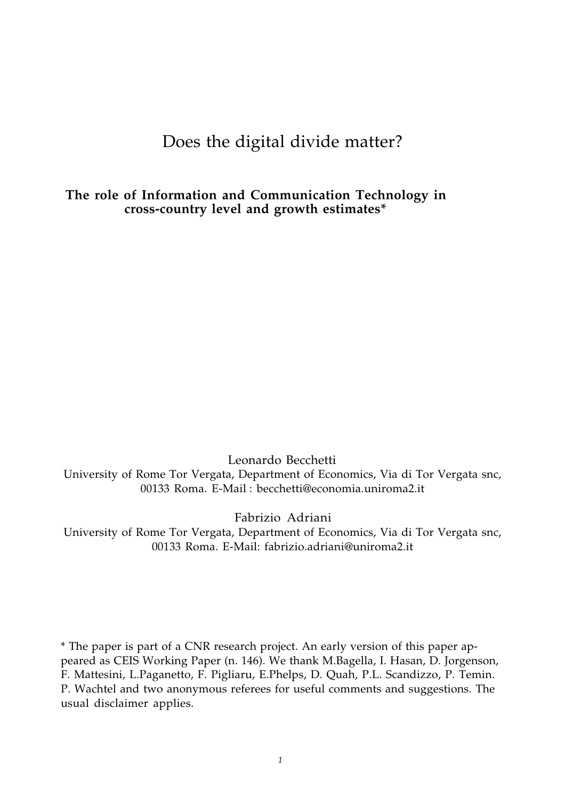## Does the digital divide matter?

**The role of Information and Communication Technology in cross-country level and growth estimates\***

Leonardo Becchetti University of Rome Tor Vergata, Department of Economics, Via di Tor Vergata snc, 00133 Roma. E-Mail : becchetti@economia.uniroma2.it

Fabrizio Adriani

University of Rome Tor Vergata, Department of Economics, Via di Tor Vergata snc, 00133 Roma. E-Mail: fabrizio.adriani@uniroma2.it

\* The paper is part of a CNR research project. An early version of this paper appeared as CEIS Working Paper (n. 146). We thank M.Bagella, I. Hasan, D. Jorgenson, F. Mattesini, L.Paganetto, F. Pigliaru, E.Phelps, D. Quah, P.L. Scandizzo, P. Temin. P. Wachtel and two anonymous referees for useful comments and suggestions. The usual disclaimer applies.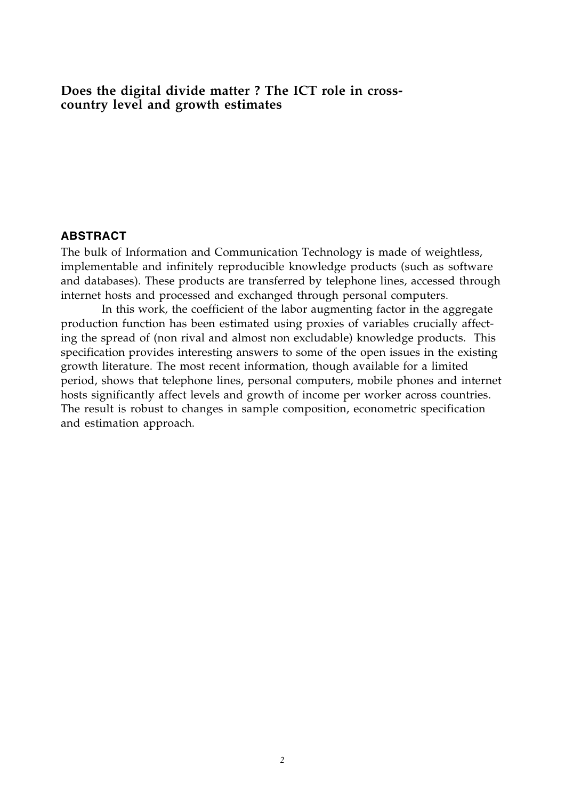#### **Does the digital divide matter ? The ICT role in crosscountry level and growth estimates**

#### **ABSTRACT**

The bulk of Information and Communication Technology is made of weightless, implementable and infinitely reproducible knowledge products (such as software and databases). These products are transferred by telephone lines, accessed through internet hosts and processed and exchanged through personal computers.

In this work, the coefficient of the labor augmenting factor in the aggregate production function has been estimated using proxies of variables crucially affecting the spread of (non rival and almost non excludable) knowledge products. This specification provides interesting answers to some of the open issues in the existing growth literature. The most recent information, though available for a limited period, shows that telephone lines, personal computers, mobile phones and internet hosts significantly affect levels and growth of income per worker across countries. The result is robust to changes in sample composition, econometric specification and estimation approach.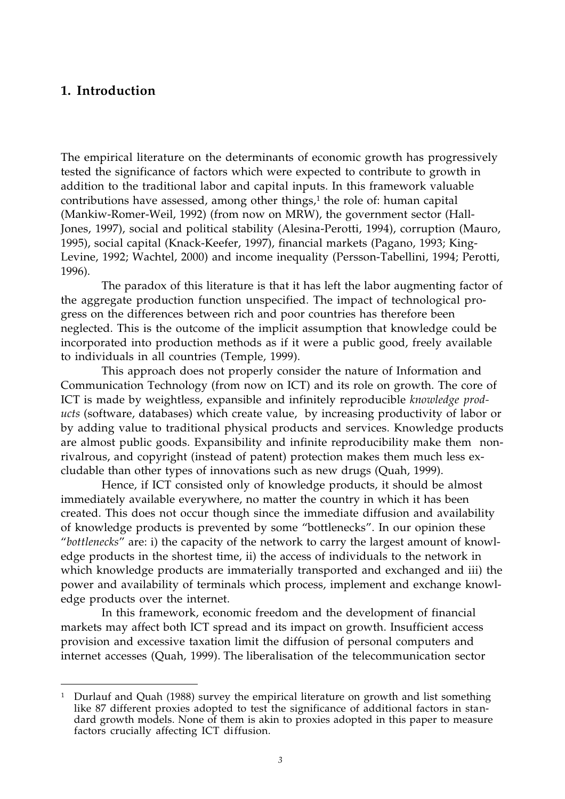### **1. Introduction**

-

The empirical literature on the determinants of economic growth has progressively tested the significance of factors which were expected to contribute to growth in addition to the traditional labor and capital inputs. In this framework valuable contributions have assessed, among other things, $1$  the role of: human capital (Mankiw-Romer-Weil, 1992) (from now on MRW), the government sector (Hall-Jones, 1997), social and political stability (Alesina-Perotti, 1994), corruption (Mauro, 1995), social capital (Knack-Keefer, 1997), financial markets (Pagano, 1993; King-Levine, 1992; Wachtel, 2000) and income inequality (Persson-Tabellini, 1994; Perotti, 1996).

The paradox of this literature is that it has left the labor augmenting factor of the aggregate production function unspecified. The impact of technological progress on the differences between rich and poor countries has therefore been neglected. This is the outcome of the implicit assumption that knowledge could be incorporated into production methods as if it were a public good, freely available to individuals in all countries (Temple, 1999).

This approach does not properly consider the nature of Information and Communication Technology (from now on ICT) and its role on growth. The core of ICT is made by weightless, expansible and infinitely reproducible *knowledge products* (software, databases) which create value, by increasing productivity of labor or by adding value to traditional physical products and services. Knowledge products are almost public goods. Expansibility and infinite reproducibility make them nonrivalrous, and copyright (instead of patent) protection makes them much less excludable than other types of innovations such as new drugs (Quah, 1999).

Hence, if ICT consisted only of knowledge products, it should be almost immediately available everywhere, no matter the country in which it has been created. This does not occur though since the immediate diffusion and availability of knowledge products is prevented by some "bottlenecks". In our opinion these "*bottlenecks*" are: i) the capacity of the network to carry the largest amount of knowledge products in the shortest time, ii) the access of individuals to the network in which knowledge products are immaterially transported and exchanged and iii) the power and availability of terminals which process, implement and exchange knowledge products over the internet.

In this framework, economic freedom and the development of financial markets may affect both ICT spread and its impact on growth. Insufficient access provision and excessive taxation limit the diffusion of personal computers and internet accesses (Quah, 1999). The liberalisation of the telecommunication sector

<sup>&</sup>lt;sup>1</sup> Durlauf and Quah (1988) survey the empirical literature on growth and list something like 87 different proxies adopted to test the significance of additional factors in standard growth models. None of them is akin to proxies adopted in this paper to measure factors crucially affecting ICT diffusion.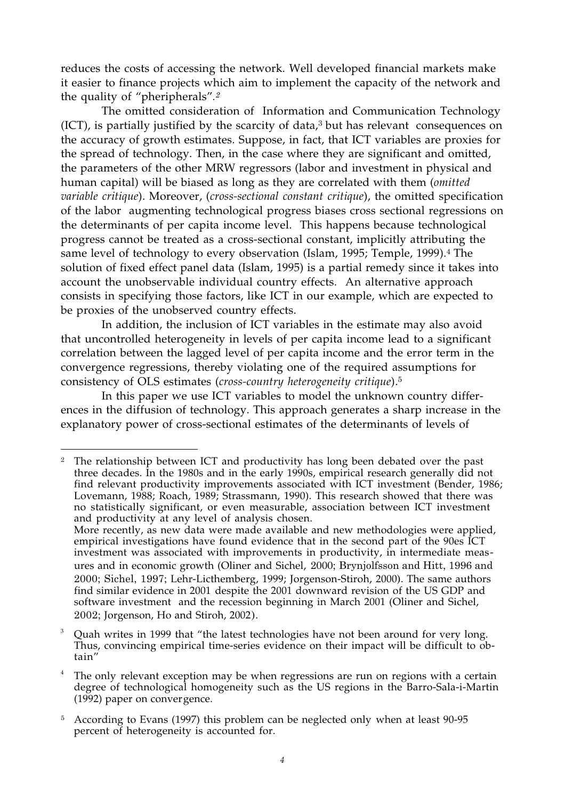reduces the costs of accessing the network. Well developed financial markets make it easier to finance projects which aim to implement the capacity of the network and the quality of "pheripherals"*.<sup>2</sup>*

The omitted consideration of Information and Communication Technology  $(ICT)$ , is partially justified by the scarcity of data, $3$  but has relevant consequences on the accuracy of growth estimates. Suppose, in fact, that ICT variables are proxies for the spread of technology. Then, in the case where they are significant and omitted, the parameters of the other MRW regressors (labor and investment in physical and human capital) will be biased as long as they are correlated with them (*omitted variable critique*). Moreover, (*cross-sectional constant critique*), the omitted specification of the labor augmenting technological progress biases cross sectional regressions on the determinants of per capita income level. This happens because technological progress cannot be treated as a cross-sectional constant, implicitly attributing the same level of technology to every observation (Islam, 1995; Temple, 1999).<sup>4</sup> The solution of fixed effect panel data (Islam, 1995) is a partial remedy since it takes into account the unobservable individual country effects. An alternative approach consists in specifying those factors, like ICT in our example, which are expected to be proxies of the unobserved country effects.

In addition, the inclusion of ICT variables in the estimate may also avoid that uncontrolled heterogeneity in levels of per capita income lead to a significant correlation between the lagged level of per capita income and the error term in the convergence regressions, thereby violating one of the required assumptions for consistency of OLS estimates (*cross-country heterogeneity critique*).<sup>5</sup>

In this paper we use ICT variables to model the unknown country differences in the diffusion of technology. This approach generates a sharp increase in the explanatory power of cross-sectional estimates of the determinants of levels of

-

3 Quah writes in 1999 that "the latest technologies have not been around for very long. Thus, convincing empirical time-series evidence on their impact will be difficult to obtain"

<sup>&</sup>lt;sup>2</sup> The relationship between ICT and productivity has long been debated over the past three decades. In the 1980s and in the early 1990s, empirical research generally did not find relevant productivity improvements associated with ICT investment (Bender, 1986; Lovemann, 1988; Roach, 1989; Strassmann, 1990). This research showed that there was no statistically significant, or even measurable, association between ICT investment and productivity at any level of analysis chosen.

More recently, as new data were made available and new methodologies were applied, empirical investigations have found evidence that in the second part of the 90es ICT investment was associated with improvements in productivity, in intermediate measures and in economic growth (Oliner and Sichel, 2000; Brynjolfsson and Hitt, 1996 and 2000; Sichel, 1997; Lehr-Licthemberg, 1999; Jorgenson-Stiroh, 2000). The same authors find similar evidence in 2001 despite the 2001 downward revision of the US GDP and software investment and the recession beginning in March 2001 (Oliner and Sichel, 2002; Jorgenson, Ho and Stiroh, 2002).

<sup>4</sup> The only relevant exception may be when regressions are run on regions with a certain degree of technological homogeneity such as the US regions in the Barro-Sala-i-Martin (1992) paper on convergence.

<sup>&</sup>lt;sup>5</sup> According to Evans (1997) this problem can be neglected only when at least 90-95 percent of heterogeneity is accounted for.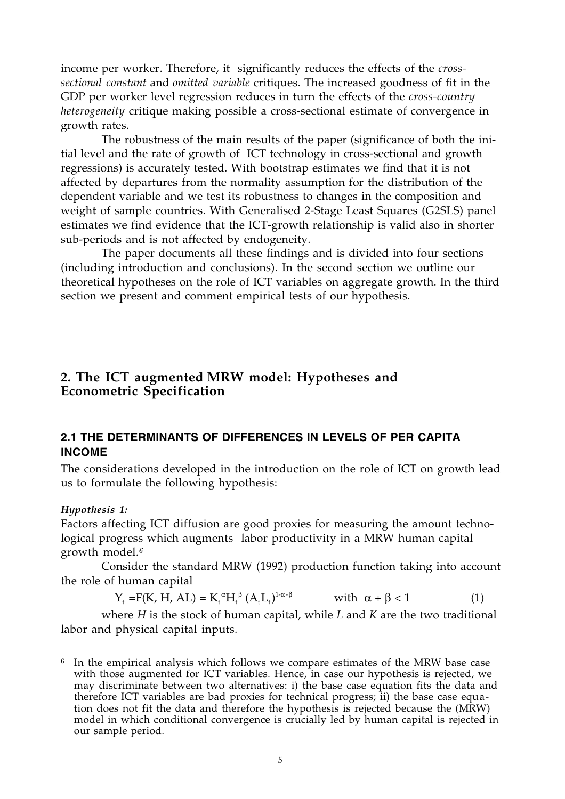income per worker. Therefore, it significantly reduces the effects of the *crosssectional constant* and *omitted variable* critiques. The increased goodness of fit in the GDP per worker level regression reduces in turn the effects of the *cross-country heterogeneity* critique making possible a cross-sectional estimate of convergence in growth rates.

The robustness of the main results of the paper (significance of both the initial level and the rate of growth of ICT technology in cross-sectional and growth regressions) is accurately tested. With bootstrap estimates we find that it is not affected by departures from the normality assumption for the distribution of the dependent variable and we test its robustness to changes in the composition and weight of sample countries. With Generalised 2-Stage Least Squares (G2SLS) panel estimates we find evidence that the ICT-growth relationship is valid also in shorter sub-periods and is not affected by endogeneity.

The paper documents all these findings and is divided into four sections (including introduction and conclusions). In the second section we outline our theoretical hypotheses on the role of ICT variables on aggregate growth. In the third section we present and comment empirical tests of our hypothesis.

## **2. The ICT augmented MRW model: Hypotheses and Econometric Specification**

### **2.1 THE DETERMINANTS OF DIFFERENCES IN LEVELS OF PER CAPITA INCOME**

The considerations developed in the introduction on the role of ICT on growth lead us to formulate the following hypothesis:

#### *Hypothesis 1:*

-

Factors affecting ICT diffusion are good proxies for measuring the amount technological progress which augments labor productivity in a MRW human capital growth model.*<sup>6</sup>*

Consider the standard MRW (1992) production function taking into account the role of human capital

$$
Y_{t} = F(K, H, AL) = K_{t}^{\alpha} H_{t}^{\beta} (A_{t} L_{t})^{1-\alpha-\beta} \qquad \text{with } \alpha + \beta < 1
$$
 (1)

where *H* is the stock of human capital, while *L* and *K* are the two traditional labor and physical capital inputs.

 $6\;$  In the empirical analysis which follows we compare estimates of the MRW base case with those augmented for ICT variables. Hence, in case our hypothesis is rejected, we may discriminate between two alternatives: i) the base case equation fits the data and therefore ICT variables are bad proxies for technical progress; ii) the base case equation does not fit the data and therefore the hypothesis is rejected because the (MRW) model in which conditional convergence is crucially led by human capital is rejected in our sample period.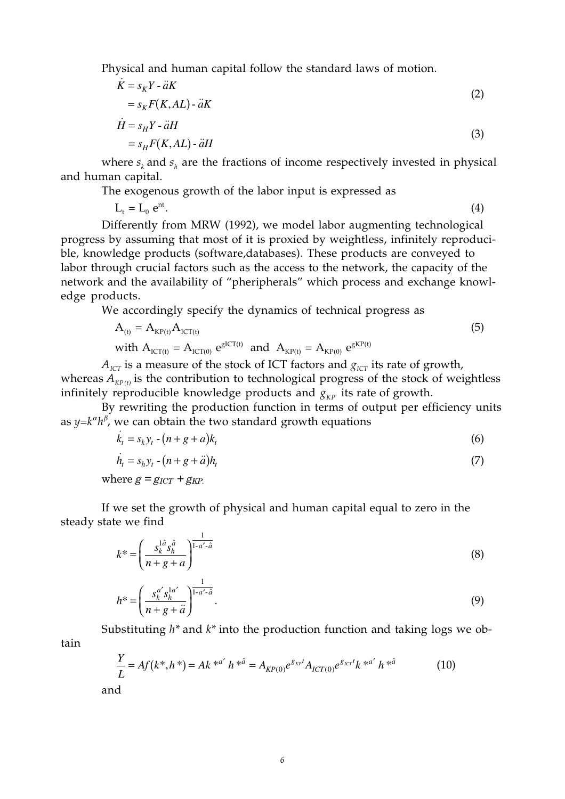Physical and human capital follow the standard laws of motion.

$$
\dot{K} = s_K Y - \ddot{a}K
$$
\n
$$
= s_K F(K, AL) - \ddot{a}K
$$
\n
$$
\dot{H} = s_H Y - \ddot{a}H
$$
\n
$$
= s_H F(K, AL) - \ddot{a}H
$$
\n(3)

where  $s_k$  and  $s_k$  are the fractions of income respectively invested in physical and human capital.

The exogenous growth of the labor input is expressed as

 $L_t = L_0 e^{nt}$ . (4)

Differently from MRW (1992), we model labor augmenting technological progress by assuming that most of it is proxied by weightless, infinitely reproducible, knowledge products (software,databases). These products are conveyed to labor through crucial factors such as the access to the network, the capacity of the network and the availability of "pheripherals" which process and exchange knowledge products.

We accordingly specify the dynamics of technical progress as

$$
A_{(t)} = A_{KP(t)} A_{ICT(t)}
$$
  
with 
$$
A_{ICT(t)} = A_{ICT(0)} e^{gICT(t)}
$$
 and 
$$
A_{KP(t)} = A_{KP(0)} e^{gKP(t)}
$$
 (5)

 $A_{\text{ICT}}$  is a measure of the stock of ICT factors and  $g_{\text{ICT}}$  its rate of growth, whereas  $A_{Kp(t)}$  is the contribution to technological progress of the stock of weightless infinitely reproducible knowledge products and  $g_{KP}$  its rate of growth.

By rewriting the production function in terms of output per efficiency units as  $y = k^{\alpha} h^{\beta}$ , we can obtain the two standard growth equations

$$
\dot{k}_t = s_k y_t - (n + g + a)k_t \tag{6}
$$

$$
\dot{h}_t = s_h y_t - (n + g + \ddot{a}) h_t \tag{7}
$$

where  $g = g_{ICT} + g_{KP}$ .

If we set the growth of physical and human capital equal to zero in the steady state we find

$$
k^* = \left(\frac{s_k^{1\hat{a}}s_h^{\hat{a}}}{n+g+a}\right)^{\frac{1}{1-a'-\hat{a}}}
$$
(8)

$$
h^* = \left(\frac{s_k^{a'} s_h^{1a'}}{n+g+\ddot{a}}\right)^{\frac{1}{1-a'-\hat{a}}}.\tag{9}
$$

Substituting *h\** and *k\** into the production function and taking logs we obtain

$$
\frac{Y}{L} = Af(k^*, h^*) = Ak^{*^{a'}}h^{*^{\hat{a}}} = A_{KP(0)}e^{g_{kr}t}A_{ICT(0)}e^{g_{k}t}k^{*^{a'}}h^{*^{\hat{a}}}
$$
 (10) and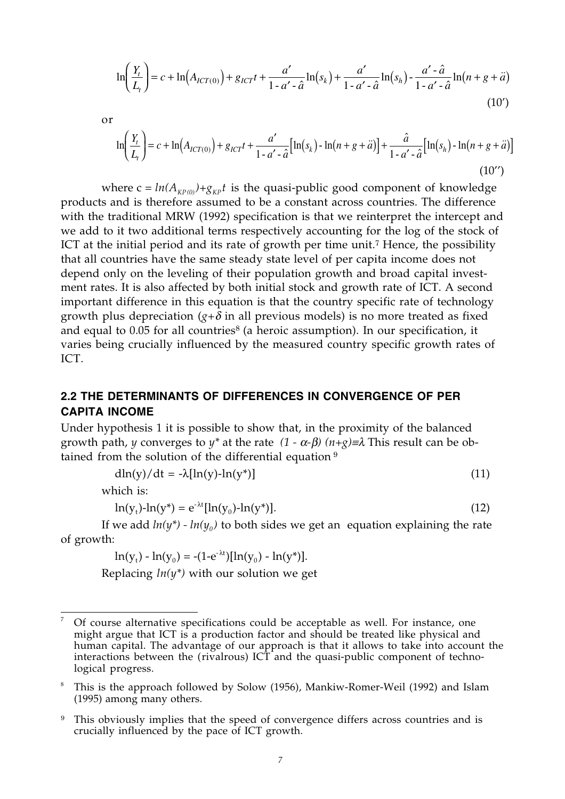$$
\ln\left(\frac{Y_t}{L_t}\right) = c + \ln\left(A_{ICT(0)}\right) + g_{ICT}t + \frac{a'}{1 - a' - \hat{a}}\ln(s_k) + \frac{a'}{1 - a' - \hat{a}}\ln(s_h) - \frac{a' - \hat{a}}{1 - a' - \hat{a}}\ln(n + g + \hat{a})\tag{10'}
$$

or

$$
\ln\left(\frac{Y_t}{L_t}\right) = c + \ln\left(A_{ICT(0)}\right) + g_{ICT}t + \frac{a'}{1 - a' - \hat{a}}\left[\ln(s_k) - \ln(n + g + \hat{a})\right] + \frac{\hat{a}}{1 - a' - \hat{a}}\left[\ln(s_h) - \ln(n + g + \hat{a})\right]
$$
\n(10'')

where  $c = ln(A_{KPOO}) + g_{KPI}t$  is the quasi-public good component of knowledge products and is therefore assumed to be a constant across countries. The difference with the traditional MRW (1992) specification is that we reinterpret the intercept and we add to it two additional terms respectively accounting for the log of the stock of ICT at the initial period and its rate of growth per time unit.<sup>7</sup> Hence, the possibility that all countries have the same steady state level of per capita income does not depend only on the leveling of their population growth and broad capital investment rates. It is also affected by both initial stock and growth rate of ICT. A second important difference in this equation is that the country specific rate of technology growth plus depreciation  $(g+\delta)$  in all previous models) is no more treated as fixed and equal to  $0.05$  for all countries<sup>8</sup> (a heroic assumption). In our specification, it varies being crucially influenced by the measured country specific growth rates of ICT.

#### **2.2 THE DETERMINANTS OF DIFFERENCES IN CONVERGENCE OF PER CAPITA INCOME**

Under hypothesis 1 it is possible to show that, in the proximity of the balanced growth path, *y* converges to *y*<sup>\*</sup> at the rate  $(1 - \alpha - \beta)$   $(n + g) \equiv \lambda$  This result can be obtained from the solution of the differential equation  $9$ 

$$
dln(y)/dt = -\lambda[ln(y) - ln(y^*)]
$$
\n(11)

which is:

$$
\ln(y_t) - \ln(y^*) = e^{-\lambda t} [\ln(y_0) - \ln(y^*)]. \tag{12}
$$

If we add  $ln(y^*)$  -  $ln(y_0)$  to both sides we get an equation explaining the rate of growth:

 $ln(y_t) - ln(y_0) = -(1-e^{-\lambda t})[ln(y_0) - ln(y^*)].$ 

Replacing *ln(y\*)* with our solution we get

 $\overline{a}$ 7 Of course alternative specifications could be acceptable as well. For instance, one might argue that ICT is a production factor and should be treated like physical and human capital. The advantage of our approach is that it allows to take into account the interactions between the (rivalrous)  $ICT$  and the quasi-public component of technological progress.

<sup>8</sup> This is the approach followed by Solow (1956), Mankiw-Romer-Weil (1992) and Islam (1995) among many others.

<sup>&</sup>lt;sup>9</sup> This obviously implies that the speed of convergence differs across countries and is crucially influenced by the pace of ICT growth.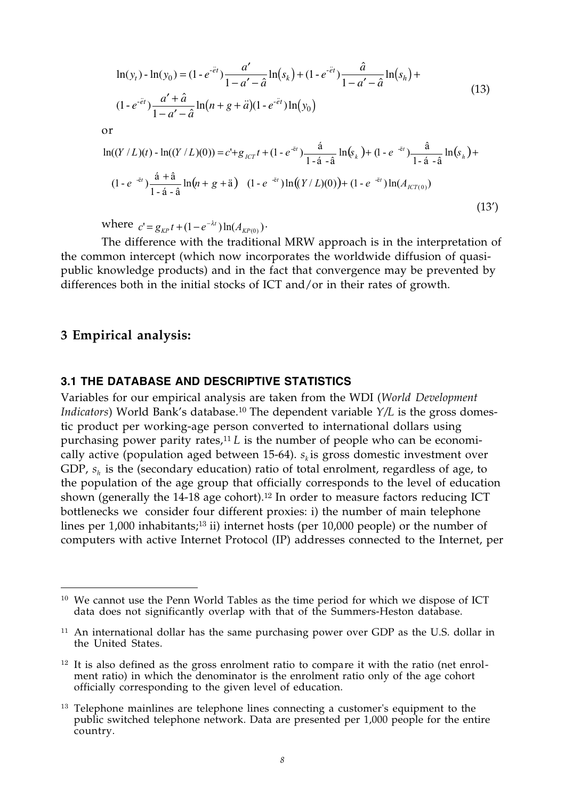$$
\ln(y_t) - \ln(y_0) = (1 - e^{-\tilde{e}t}) \frac{a'}{1 - a' - \hat{a}} \ln(s_k) + (1 - e^{-\tilde{e}t}) \frac{\hat{a}}{1 - a' - \hat{a}} \ln(s_h) + (1 - e^{-\tilde{e}t}) \frac{a' + \hat{a}}{1 - a' - \hat{a}} \ln(n + g + \ddot{a})(1 - e^{-\tilde{e}t}) \ln(y_0)
$$
\n(13)

or

$$
\ln((Y/L)(t) - \ln((Y/L)(0))) = c' + g_{\text{ICT}}t + (1 - e^{-\tilde{e}t}) \frac{\hat{a}}{1 - \hat{a} - \hat{a}} \ln(s_k) + (1 - e^{-\tilde{e}t}) \frac{\hat{a}}{1 - \hat{a} - \hat{a}} \ln(s_h) + (1 - e^{-\tilde{e}t}) \frac{\hat{a} + \hat{a}}{1 - \hat{a} - \hat{a}} \ln(n + g + \tilde{a}) \quad (1 - e^{-\tilde{e}t}) \ln((Y/L)(0)) + (1 - e^{-\tilde{e}t}) \ln(A_{\text{ICT}(0)})
$$
\n(13')

 $\text{where } c' = g_{\kappa P} t + (1 - e^{-\lambda t}) \ln(A_{\kappa P(0)})$ 

The difference with the traditional MRW approach is in the interpretation of the common intercept (which now incorporates the worldwide diffusion of quasipublic knowledge products) and in the fact that convergence may be prevented by differences both in the initial stocks of ICT and/or in their rates of growth.

#### **3 Empirical analysis:**

-

#### **3.1 THE DATABASE AND DESCRIPTIVE STATISTICS**

Variables for our empirical analysis are taken from the WDI (*World Development Indicators*) World Bank's database.<sup>10</sup> The dependent variable *Y*/*L* is the gross domestic product per working-age person converted to international dollars using purchasing power parity rates,<sup>11</sup> *L* is the number of people who can be economically active (population aged between 15-64).  $s_k$  is gross domestic investment over GDP,  $s<sub>h</sub>$  is the (secondary education) ratio of total enrolment, regardless of age, to the population of the age group that officially corresponds to the level of education shown (generally the  $14-18$  age cohort).<sup>12</sup> In order to measure factors reducing ICT bottlenecks we consider four different proxies: i) the number of main telephone lines per 1,000 inhabitants;<sup>13</sup> ii) internet hosts (per 10,000 people) or the number of computers with active Internet Protocol (IP) addresses connected to the Internet, per

<sup>10</sup> We cannot use the Penn World Tables as the time period for which we dispose of ICT data does not significantly overlap with that of the Summers-Heston database.

<sup>&</sup>lt;sup>11</sup> An international dollar has the same purchasing power over GDP as the U.S. dollar in the United States.

 $12$  It is also defined as the gross enrolment ratio to compare it with the ratio (net enrolment ratio) in which the denominator is the enrolment ratio only of the age cohort officially corresponding to the given level of education.

<sup>&</sup>lt;sup>13</sup> Telephone mainlines are telephone lines connecting a customer's equipment to the public switched telephone network. Data are presented per 1,000 people for the entire country.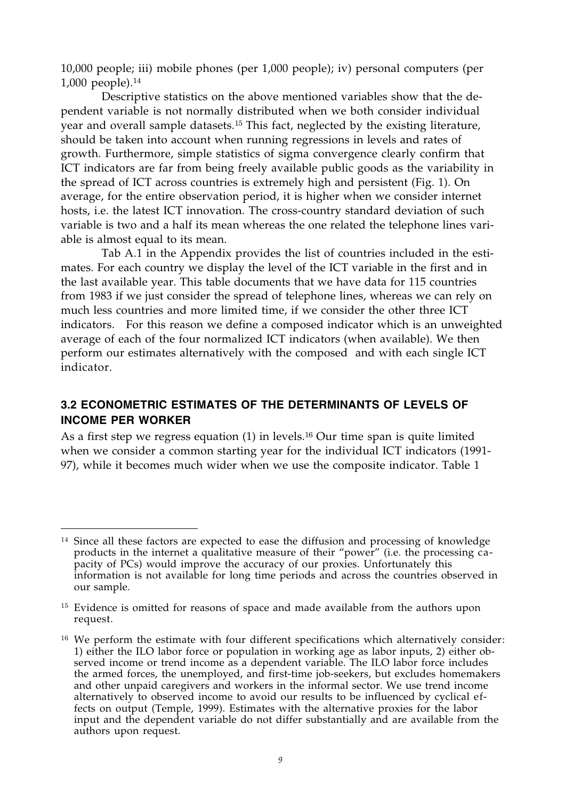10,000 people; iii) mobile phones (per 1,000 people); iv) personal computers (per 1,000 people).<sup>14</sup>

Descriptive statistics on the above mentioned variables show that the dependent variable is not normally distributed when we both consider individual year and overall sample datasets.<sup>15</sup> This fact, neglected by the existing literature, should be taken into account when running regressions in levels and rates of growth. Furthermore, simple statistics of sigma convergence clearly confirm that ICT indicators are far from being freely available public goods as the variability in the spread of ICT across countries is extremely high and persistent (Fig. 1). On average, for the entire observation period, it is higher when we consider internet hosts, i.e. the latest ICT innovation. The cross-country standard deviation of such variable is two and a half its mean whereas the one related the telephone lines variable is almost equal to its mean.

Tab A.1 in the Appendix provides the list of countries included in the estimates. For each country we display the level of the ICT variable in the first and in the last available year. This table documents that we have data for 115 countries from 1983 if we just consider the spread of telephone lines, whereas we can rely on much less countries and more limited time, if we consider the other three ICT indicators. For this reason we define a composed indicator which is an unweighted average of each of the four normalized ICT indicators (when available). We then perform our estimates alternatively with the composed and with each single ICT indicator.

#### **3.2 ECONOMETRIC ESTIMATES OF THE DETERMINANTS OF LEVELS OF INCOME PER WORKER**

As a first step we regress equation (1) in levels.<sup>16</sup> Our time span is quite limited when we consider a common starting year for the individual ICT indicators (1991- 97), while it becomes much wider when we use the composite indicator. Table 1

 $\overline{a}$ 

<sup>&</sup>lt;sup>14</sup> Since all these factors are expected to ease the diffusion and processing of knowledge products in the internet a qualitative measure of their "power" (i.e. the processing capacity of PCs) would improve the accuracy of our proxies. Unfortunately this information is not available for long time periods and across the countries observed in our sample.

<sup>&</sup>lt;sup>15</sup> Evidence is omitted for reasons of space and made available from the authors upon request.

<sup>&</sup>lt;sup>16</sup> We perform the estimate with four different specifications which alternatively consider: 1) either the ILO labor force or population in working age as labor inputs, 2) either observed income or trend income as a dependent variable. The ILO labor force includes the armed forces, the unemployed, and first-time job-seekers, but excludes homemakers and other unpaid caregivers and workers in the informal sector. We use trend income alternatively to observed income to avoid our results to be influenced by cyclical effects on output (Temple, 1999). Estimates with the alternative proxies for the labor input and the dependent variable do not differ substantially and are available from the authors upon request.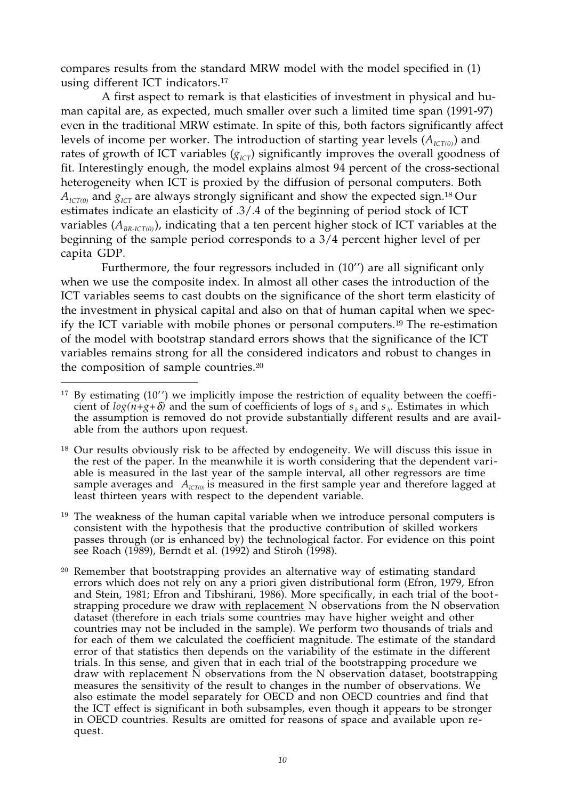compares results from the standard MRW model with the model specified in (1) using different ICT indicators.<sup>17</sup>

A first aspect to remark is that elasticities of investment in physical and human capital are, as expected, much smaller over such a limited time span (1991-97) even in the traditional MRW estimate. In spite of this, both factors significantly affect levels of income per worker. The introduction of starting year levels  $(A_{\text{ICT}(0)})$  and rates of growth of ICT variables  $(g_{\text{ICT}})$  significantly improves the overall goodness of fit. Interestingly enough, the model explains almost 94 percent of the cross-sectional heterogeneity when ICT is proxied by the diffusion of personal computers. Both  $A_{\text{ICT}(0)}$  and  $g_{\text{ICT}}$  are always strongly significant and show the expected sign.<sup>18</sup> Our estimates indicate an elasticity of .3/.4 of the beginning of period stock of ICT variables  $(A_{RR,ICT(0)})$ , indicating that a ten percent higher stock of ICT variables at the beginning of the sample period corresponds to a 3/4 percent higher level of per capita GDP.

Furthermore, the four regressors included in (10'') are all significant only when we use the composite index. In almost all other cases the introduction of the ICT variables seems to cast doubts on the significance of the short term elasticity of the investment in physical capital and also on that of human capital when we specify the ICT variable with mobile phones or personal computers.<sup>19</sup> The re-estimation of the model with bootstrap standard errors shows that the significance of the ICT variables remains strong for all the considered indicators and robust to changes in the composition of sample countries.<sup>20</sup>

<sup>19</sup> The weakness of the human capital variable when we introduce personal computers is consistent with the hypothesis that the productive contribution of skilled workers passes through (or is enhanced by) the technological factor. For evidence on this point see Roach (1989), Berndt et al. (1992) and Stiroh (1998).

 $\overline{a}$  $17$  By estimating (10'') we implicitly impose the restriction of equality between the coefficient of  $log(n+g+\delta)$  and the sum of coefficients of logs of  $s_k$  and  $s_k$ . Estimates in which the assumption is removed do not provide substantially different results and are available from the authors upon request.

<sup>&</sup>lt;sup>18</sup> Our results obviously risk to be affected by endogeneity. We will discuss this issue in the rest of the paper. In the meanwhile it is worth considering that the dependent variable is measured in the last year of the sample interval, all other regressors are time sample averages and  $A_{\text{lCT}(0)}$  is measured in the first sample year and therefore lagged at least thirteen years with respect to the dependent variable.

<sup>&</sup>lt;sup>20</sup> Remember that bootstrapping provides an alternative way of estimating standard errors which does not rely on any a priori given distributional form (Efron, 1979, Efron and Stein, 1981; Efron and Tibshirani, 1986). More specifically, in each trial of the bootstrapping procedure we draw with replacement N observations from the N observation dataset (therefore in each trials some countries may have higher weight and other countries may not be included in the sample). We perform two thousands of trials and for each of them we calculated the coefficient magnitude. The estimate of the standard error of that statistics then depends on the variability of the estimate in the different trials. In this sense, and given that in each trial of the bootstrapping procedure we draw with replacement N observations from the N observation dataset, bootstrapping measures the sensitivity of the result to changes in the number of observations. We also estimate the model separately for OECD and non OECD countries and find that the ICT effect is significant in both subsamples, even though it appears to be stronger in OECD countries. Results are omitted for reasons of space and available upon request.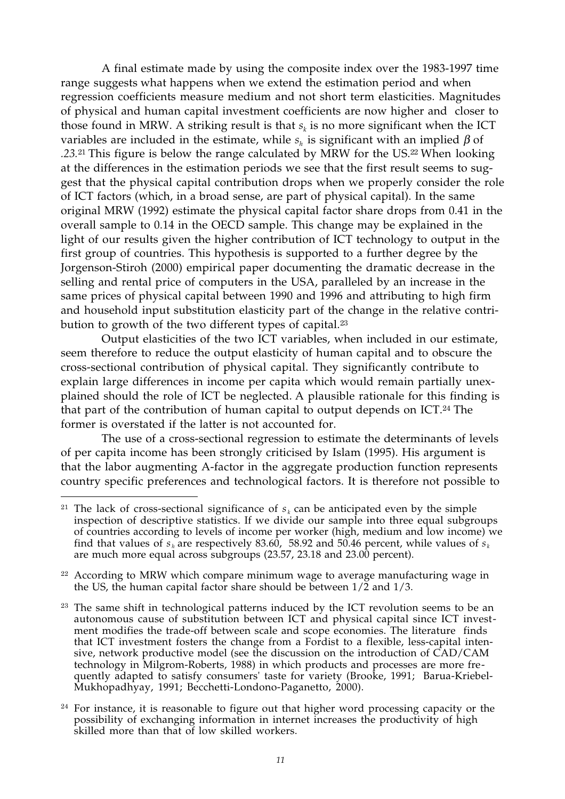A final estimate made by using the composite index over the 1983-1997 time range suggests what happens when we extend the estimation period and when regression coefficients measure medium and not short term elasticities. Magnitudes of physical and human capital investment coefficients are now higher and closer to those found in MRW. A striking result is that  $s_k$  is no more significant when the ICT variables are included in the estimate, while  $s<sub>h</sub>$  is significant with an implied  $\beta$  of *.23.*<sup>21</sup> This figure is below the range calculated by MRW for the US.<sup>22</sup> When looking at the differences in the estimation periods we see that the first result seems to suggest that the physical capital contribution drops when we properly consider the role of ICT factors (which, in a broad sense, are part of physical capital). In the same original MRW (1992) estimate the physical capital factor share drops from 0.41 in the overall sample to 0.14 in the OECD sample. This change may be explained in the light of our results given the higher contribution of ICT technology to output in the first group of countries. This hypothesis is supported to a further degree by the Jorgenson-Stiroh (2000) empirical paper documenting the dramatic decrease in the selling and rental price of computers in the USA, paralleled by an increase in the same prices of physical capital between 1990 and 1996 and attributing to high firm and household input substitution elasticity part of the change in the relative contribution to growth of the two different types of capital.<sup>23</sup>

Output elasticities of the two ICT variables, when included in our estimate, seem therefore to reduce the output elasticity of human capital and to obscure the cross-sectional contribution of physical capital. They significantly contribute to explain large differences in income per capita which would remain partially unexplained should the role of ICT be neglected. A plausible rationale for this finding is that part of the contribution of human capital to output depends on ICT.<sup>24</sup> The former is overstated if the latter is not accounted for.

The use of a cross-sectional regression to estimate the determinants of levels of per capita income has been strongly criticised by Islam (1995). His argument is that the labor augmenting A-factor in the aggregate production function represents country specific preferences and technological factors. It is therefore not possible to

 $\overline{a}$ 

<sup>&</sup>lt;sup>21</sup> The lack of cross-sectional significance of  $s_k$  can be anticipated even by the simple inspection of descriptive statistics. If we divide our sample into three equal subgroups of countries according to levels of income per worker (high, medium and low income) we find that values of  $s_h$  are respectively 83.60, 58.92 and 50.46 percent, while values of  $s_k$ are much more equal across subgroups (23.57, 23.18 and 23.00 percent).

<sup>&</sup>lt;sup>22</sup> According to MRW which compare minimum wage to average manufacturing wage in the US, the human capital factor share should be between  $1/\tilde{2}$  and  $1/3$ .

<sup>&</sup>lt;sup>23</sup> The same shift in technological patterns induced by the ICT revolution seems to be an autonomous cause of substitution between ICT and physical capital since ICT investment modifies the trade-off between scale and scope economies. The literature finds that ICT investment fosters the change from a Fordist to a flexible, less-capital intensive, network productive model (see the discussion on the introduction of CAD/CAM technology in Milgrom-Roberts, 1988) in which products and processes are more frequently adapted to satisfy consumers' taste for variety (Brooke, 1991; Barua-Kriebel-Mukhopadhyay, 1991; Becchetti-Londono-Paganetto, 2000).

<sup>&</sup>lt;sup>24</sup> For instance, it is reasonable to figure out that higher word processing capacity or the possibility of exchanging information in internet increases the productivity of high skilled more than that of low skilled workers.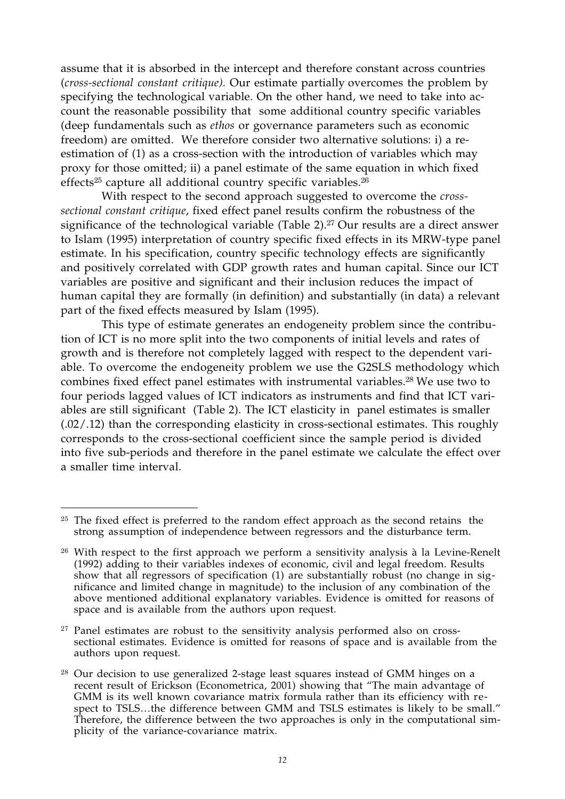assume that it is absorbed in the intercept and therefore constant across countries (*cross-sectional constant critique).* Our estimate partially overcomes the problem by specifying the technological variable. On the other hand, we need to take into account the reasonable possibility that some additional country specific variables (deep fundamentals such as *ethos* or governance parameters such as economic freedom) are omitted. We therefore consider two alternative solutions: i) a reestimation of (1) as a cross-section with the introduction of variables which may proxy for those omitted; ii) a panel estimate of the same equation in which fixed effects<sup>25</sup> capture all additional country specific variables.<sup>26</sup>

With respect to the second approach suggested to overcome the *crosssectional constant critique*, fixed effect panel results confirm the robustness of the significance of the technological variable (Table 2).<sup>27</sup> Our results are a direct answer to Islam (1995) interpretation of country specific fixed effects in its MRW-type panel estimate. In his specification, country specific technology effects are significantly and positively correlated with GDP growth rates and human capital. Since our ICT variables are positive and significant and their inclusion reduces the impact of human capital they are formally (in definition) and substantially (in data) a relevant part of the fixed effects measured by Islam (1995).

This type of estimate generates an endogeneity problem since the contribution of ICT is no more split into the two components of initial levels and rates of growth and is therefore not completely lagged with respect to the dependent variable. To overcome the endogeneity problem we use the G2SLS methodology which combines fixed effect panel estimates with instrumental variables.<sup>28</sup> We use two to four periods lagged values of ICT indicators as instruments and find that ICT variables are still significant (Table 2). The ICT elasticity in panel estimates is smaller  $(0.02/0.12)$  than the corresponding elasticity in cross-sectional estimates. This roughly corresponds to the cross-sectional coefficient since the sample period is divided into five sub-periods and therefore in the panel estimate we calculate the effect over a smaller time interval.

 $\overline{a}$ 

<sup>27</sup> Panel estimates are robust to the sensitivity analysis performed also on crosssectional estimates. Evidence is omitted for reasons of space and is available from the authors upon request.

<sup>&</sup>lt;sup>25</sup> The fixed effect is preferred to the random effect approach as the second retains the strong assumption of independence between regressors and the disturbance term.

<sup>&</sup>lt;sup>26</sup> With respect to the first approach we perform a sensitivity analysis à la Levine-Renelt (1992) adding to their variables indexes of economic, civil and legal freedom. Results show that all regressors of specification (1) are substantially robust (no change in significance and limited change in magnitude) to the inclusion of any combination of the above mentioned additional explanatory variables. Evidence is omitted for reasons of space and is available from the authors upon request.

<sup>&</sup>lt;sup>28</sup> Our decision to use generalized 2-stage least squares instead of GMM hinges on a recent result of Erickson (Econometrica, 2001) showing that "The main advantage of GMM is its well known covariance matrix formula rather than its efficiency with respect to TSLS…the difference between GMM and TSLS estimates is likely to be small." Therefore, the difference between the two approaches is only in the computational simplicity of the variance-covariance matrix.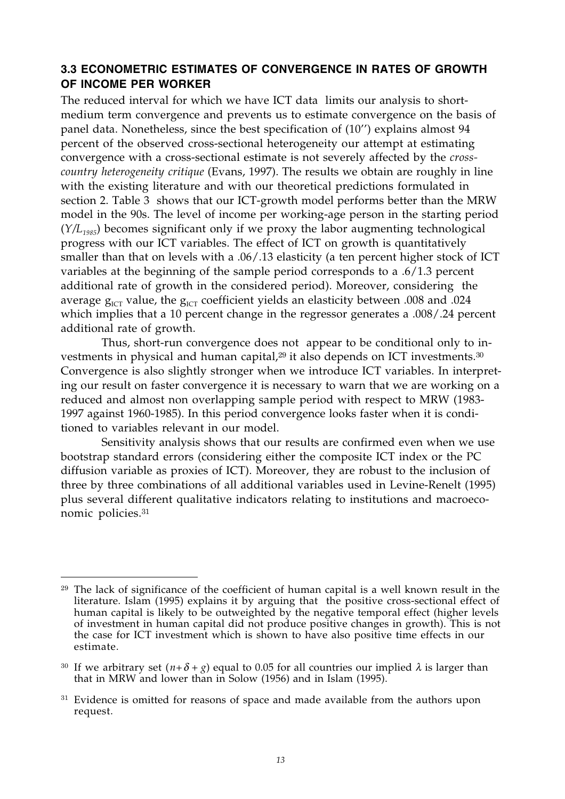#### **3.3 ECONOMETRIC ESTIMATES OF CONVERGENCE IN RATES OF GROWTH OF INCOME PER WORKER**

The reduced interval for which we have ICT data limits our analysis to shortmedium term convergence and prevents us to estimate convergence on the basis of panel data. Nonetheless, since the best specification of (10'') explains almost 94 percent of the observed cross-sectional heterogeneity our attempt at estimating convergence with a cross-sectional estimate is not severely affected by the *crosscountry heterogeneity critique* (Evans, 1997). The results we obtain are roughly in line with the existing literature and with our theoretical predictions formulated in section 2. Table 3 shows that our ICT-growth model performs better than the MRW model in the 90s. The level of income per working-age person in the starting period (*Y/L1985*) becomes significant only if we proxy the labor augmenting technological progress with our ICT variables. The effect of ICT on growth is quantitatively smaller than that on levels with a .06/.13 elasticity (a ten percent higher stock of ICT variables at the beginning of the sample period corresponds to a .6/1.3 percent additional rate of growth in the considered period). Moreover, considering the average  $g_{\text{ICT}}$  value, the  $g_{\text{ICT}}$  coefficient yields an elasticity between .008 and .024 which implies that a 10 percent change in the regressor generates a .008/.24 percent additional rate of growth.

Thus, short-run convergence does not appear to be conditional only to investments in physical and human capital,<sup>29</sup> it also depends on ICT investments.<sup>30</sup> Convergence is also slightly stronger when we introduce ICT variables. In interpreting our result on faster convergence it is necessary to warn that we are working on a reduced and almost non overlapping sample period with respect to MRW (1983- 1997 against 1960-1985). In this period convergence looks faster when it is conditioned to variables relevant in our model.

Sensitivity analysis shows that our results are confirmed even when we use bootstrap standard errors (considering either the composite ICT index or the PC diffusion variable as proxies of ICT). Moreover, they are robust to the inclusion of three by three combinations of all additional variables used in Levine-Renelt (1995) plus several different qualitative indicators relating to institutions and macroeconomic policies.<sup>31</sup>

 $\overline{a}$ <sup>29</sup> The lack of significance of the coefficient of human capital is a well known result in the literature. Islam (1995) explains it by arguing that the positive cross-sectional effect of human capital is likely to be outweighted by the negative temporal effect (higher levels of investment in human capital did not produce positive changes in growth). This is not the case for ICT investment which is shown to have also positive time effects in our estimate.

<sup>&</sup>lt;sup>30</sup> If we arbitrary set  $(n+\delta+g)$  equal to 0.05 for all countries our implied  $\lambda$  is larger than that in MRW and lower than in Solow (1956) and in Islam (1995).

<sup>&</sup>lt;sup>31</sup> Evidence is omitted for reasons of space and made available from the authors upon request.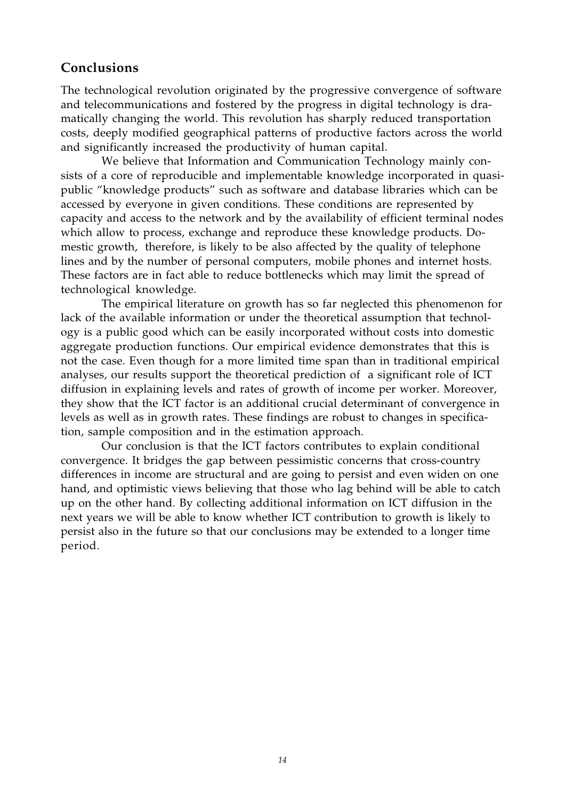## **Conclusions**

The technological revolution originated by the progressive convergence of software and telecommunications and fostered by the progress in digital technology is dramatically changing the world. This revolution has sharply reduced transportation costs, deeply modified geographical patterns of productive factors across the world and significantly increased the productivity of human capital.

We believe that Information and Communication Technology mainly consists of a core of reproducible and implementable knowledge incorporated in quasipublic "knowledge products" such as software and database libraries which can be accessed by everyone in given conditions. These conditions are represented by capacity and access to the network and by the availability of efficient terminal nodes which allow to process, exchange and reproduce these knowledge products. Domestic growth, therefore, is likely to be also affected by the quality of telephone lines and by the number of personal computers, mobile phones and internet hosts. These factors are in fact able to reduce bottlenecks which may limit the spread of technological knowledge.

The empirical literature on growth has so far neglected this phenomenon for lack of the available information or under the theoretical assumption that technology is a public good which can be easily incorporated without costs into domestic aggregate production functions. Our empirical evidence demonstrates that this is not the case. Even though for a more limited time span than in traditional empirical analyses, our results support the theoretical prediction of a significant role of ICT diffusion in explaining levels and rates of growth of income per worker. Moreover, they show that the ICT factor is an additional crucial determinant of convergence in levels as well as in growth rates. These findings are robust to changes in specification, sample composition and in the estimation approach.

Our conclusion is that the ICT factors contributes to explain conditional convergence. It bridges the gap between pessimistic concerns that cross-country differences in income are structural and are going to persist and even widen on one hand, and optimistic views believing that those who lag behind will be able to catch up on the other hand. By collecting additional information on ICT diffusion in the next years we will be able to know whether ICT contribution to growth is likely to persist also in the future so that our conclusions may be extended to a longer time period.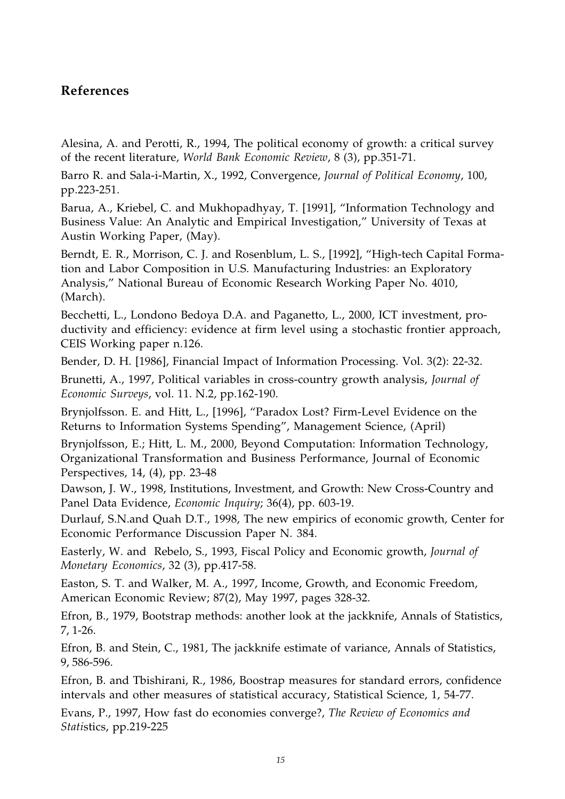## **References**

Alesina, A. and Perotti, R., 1994, The political economy of growth: a critical survey of the recent literature, *World Bank Economic Review*, 8 (3), pp.351-71.

Barro R. and Sala-i-Martin, X., 1992, Convergence, *Journal of Political Economy*, 100, pp.223-251.

Barua, A., Kriebel, C. and Mukhopadhyay, T. [1991], "Information Technology and Business Value: An Analytic and Empirical Investigation," University of Texas at Austin Working Paper, (May).

Berndt, E. R., Morrison, C. J. and Rosenblum, L. S., [1992], "High-tech Capital Formation and Labor Composition in U.S. Manufacturing Industries: an Exploratory Analysis," National Bureau of Economic Research Working Paper No. 4010, (March).

Becchetti, L., Londono Bedoya D.A. and Paganetto, L., 2000, ICT investment, productivity and efficiency: evidence at firm level using a stochastic frontier approach, CEIS Working paper n.126.

Bender, D. H. [1986], Financial Impact of Information Processing. Vol. 3(2): 22-32.

Brunetti, A., 1997, Political variables in cross-country growth analysis, *Journal of Economic Surveys*, vol. 11. N.2, pp.162-190.

Brynjolfsson. E. and Hitt, L., [1996], "Paradox Lost? Firm-Level Evidence on the Returns to Information Systems Spending", Management Science, (April)

Brynjolfsson, E.; Hitt, L. M., 2000, Beyond Computation: Information Technology, Organizational Transformation and Business Performance, Journal of Economic Perspectives, 14, (4), pp. 23-48

Dawson, J. W., 1998, Institutions, Investment, and Growth: New Cross-Country and Panel Data Evidence, *Economic Inquiry*; 36(4), pp. 603-19.

Durlauf, S.N.and Quah D.T., 1998, The new empirics of economic growth, Center for Economic Performance Discussion Paper N. 384.

Easterly, W. and Rebelo, S., 1993, Fiscal Policy and Economic growth, *Journal of Monetary Economics*, 32 (3), pp.417-58.

Easton, S. T. and Walker, M. A., 1997, Income, Growth, and Economic Freedom, American Economic Review; 87(2), May 1997, pages 328-32.

Efron, B., 1979, Bootstrap methods: another look at the jackknife, Annals of Statistics, 7, 1-26.

Efron, B. and Stein, C., 1981, The jackknife estimate of variance, Annals of Statistics, 9, 586-596.

Efron, B. and Tbishirani, R., 1986, Boostrap measures for standard errors, confidence intervals and other measures of statistical accuracy, Statistical Science, 1, 54-77.

Evans, P., 1997, How fast do economies converge?, *The Review of Economics and Stati*stics, pp.219-225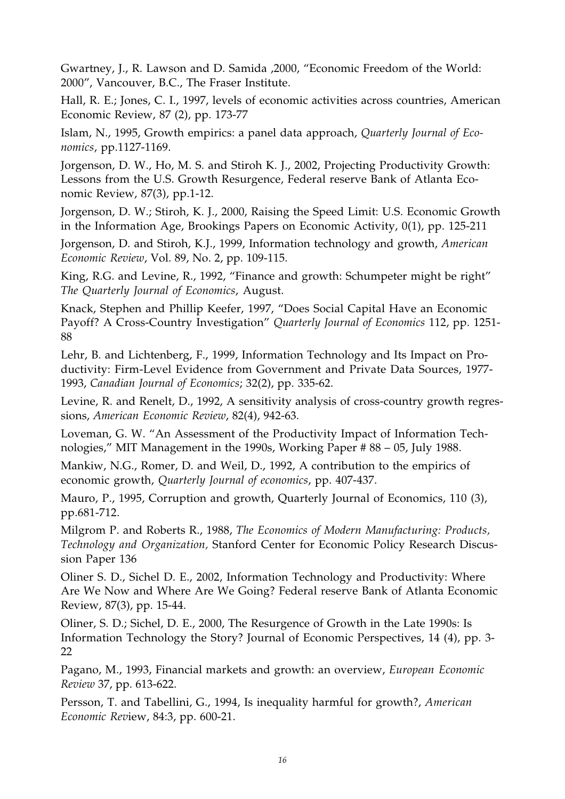Gwartney, J., R. Lawson and D. Samida ,2000, "Economic Freedom of the World: 2000", Vancouver, B.C., The Fraser Institute.

Hall, R. E.; Jones, C. I., 1997, levels of economic activities across countries, American Economic Review, 87 (2), pp. 173-77

Islam, N., 1995, Growth empirics: a panel data approach, *Quarterly Journal of Economics*, pp.1127-1169.

Jorgenson, D. W., Ho, M. S. and Stiroh K. J., 2002, Projecting Productivity Growth: Lessons from the U.S. Growth Resurgence, Federal reserve Bank of Atlanta Economic Review, 87(3), pp.1-12.

Jorgenson, D. W.; Stiroh, K. J., 2000, Raising the Speed Limit: U.S. Economic Growth in the Information Age, Brookings Papers on Economic Activity, 0(1), pp. 125-211

Jorgenson, D. and Stiroh, K.J., 1999, Information technology and growth, *American Economic Review*, Vol. 89, No. 2, pp. 109-115.

King, R.G. and Levine, R., 1992, "Finance and growth: Schumpeter might be right" *The Quarterly Journal of Economics*, August.

Knack, Stephen and Phillip Keefer, 1997, "Does Social Capital Have an Economic Payoff? A Cross-Country Investigation" *Quarterly Journal of Economics* 112, pp. 1251- 88

Lehr, B. and Lichtenberg, F., 1999, Information Technology and Its Impact on Productivity: Firm-Level Evidence from Government and Private Data Sources, 1977- 1993, *Canadian Journal of Economics*; 32(2), pp. 335-62.

Levine, R. and Renelt, D., 1992, A sensitivity analysis of cross-country growth regressions, *American Economic Review*, 82(4), 942-63.

Loveman, G. W. "An Assessment of the Productivity Impact of Information Technologies," MIT Management in the 1990s, Working Paper # 88 – 05, July 1988.

Mankiw, N.G., Romer, D. and Weil, D., 1992, A contribution to the empirics of economic growth, *Quarterly Journal of economics*, pp. 407-437.

Mauro, P., 1995, Corruption and growth, Quarterly Journal of Economics, 110 (3), pp.681-712.

Milgrom P. and Roberts R., 1988, *The Economics of Modern Manufacturing: Products, Technology and Organization,* Stanford Center for Economic Policy Research Discussion Paper 136

Oliner S. D., Sichel D. E., 2002, Information Technology and Productivity: Where Are We Now and Where Are We Going? Federal reserve Bank of Atlanta Economic Review, 87(3), pp. 15-44.

Oliner, S. D.; Sichel, D. E., 2000, The Resurgence of Growth in the Late 1990s: Is Information Technology the Story? Journal of Economic Perspectives, 14 (4), pp. 3- 22

Pagano, M., 1993, Financial markets and growth: an overview, *European Economic Review* 37, pp. 613-622.

Persson, T. and Tabellini, G., 1994, Is inequality harmful for growth?, *American Economic Rev*iew, 84:3, pp. 600-21.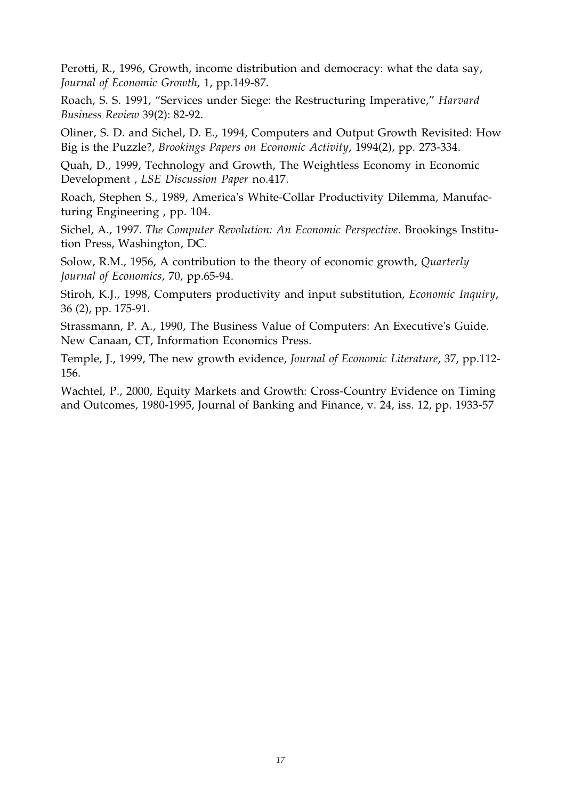Perotti, R., 1996, Growth, income distribution and democracy: what the data say, *Journal of Economic Growth*, 1, pp.149-87.

Roach, S. S. 1991, "Services under Siege: the Restructuring Imperative," *Harvard Business Review* 39(2): 82-92.

Oliner, S. D. and Sichel, D. E., 1994, Computers and Output Growth Revisited: How Big is the Puzzle?, *Brookings Papers on Economic Activity*, 1994(2), pp. 273-334.

Quah, D., 1999, Technology and Growth, The Weightless Economy in Economic Development , *LSE Discussion Paper* no.417.

Roach, Stephen S., 1989, America's White-Collar Productivity Dilemma, Manufacturing Engineering , pp. 104.

Sichel, A., 1997. *The Computer Revolution: An Economic Perspective*. Brookings Institution Press, Washington, DC.

Solow, R.M., 1956, A contribution to the theory of economic growth, *Quarterly Journal of Economics*, 70, pp.65-94.

Stiroh, K.J., 1998, Computers productivity and input substitution, *Economic Inquiry*, 36 (2), pp. 175-91.

Strassmann, P. A., 1990, The Business Value of Computers: An Executive's Guide. New Canaan, CT, Information Economics Press.

Temple, J., 1999, The new growth evidence, *Journal of Economic Literature*, 37, pp.112- 156.

Wachtel, P., 2000, Equity Markets and Growth: Cross-Country Evidence on Timing and Outcomes, 1980-1995, Journal of Banking and Finance, v. 24, iss. 12, pp. 1933-57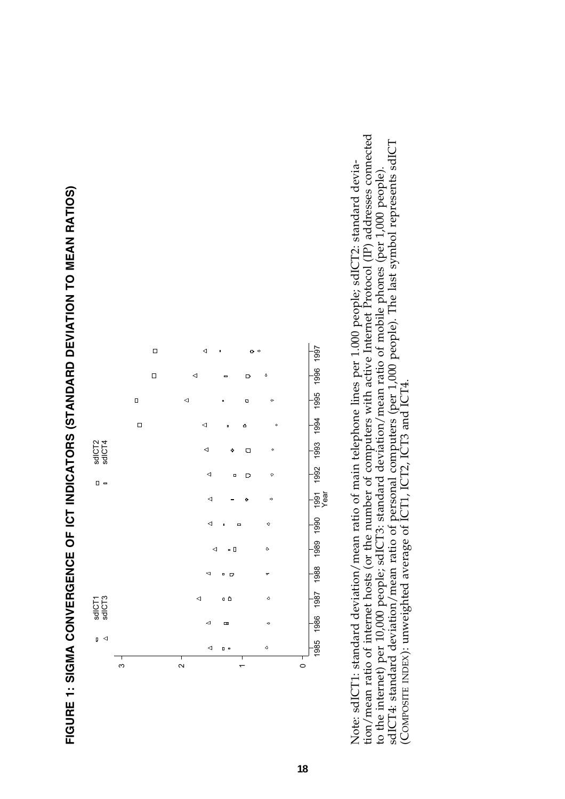



tion/mean ratio of internet hosts (or the number of computers with active Internet Protocol (IP) addresses connected tion/mean ratio of internet hosts (or the number of computers with active Internet Protocol (IP) addresses connected sdICT4: standard deviation/mean ratio of personal computers (per 1,000 people). The last symbol represents sdICT sdICT4: standard deviation/mean ratio of personal computers (per 1,000 people). The last symbol represents sdICT Note: sdICT1: standard deviation/mean ratio of main telephone lines per 1.000 people; sdICT2: standard devia-Note: sdICT1: standard deviation/mean ratio of main telephone lines per 1.000 people; sdICT2: standard deviato the internet) per 10,000 people; sdICT3: standard deviation/mean ratio of mobile phones (per 1,000 people). to the internet) per 10,000 people; sdICT3: standard deviation/mean ratio of mobile phones (per 1,000 people). (COMPOSITE INDEX): unweighted average of ICT1, ICT2, ICT3 and ICT4. (COMPOSITE INDEX): unweighted average of ICT1, ICT2, ICT3 and ICT4.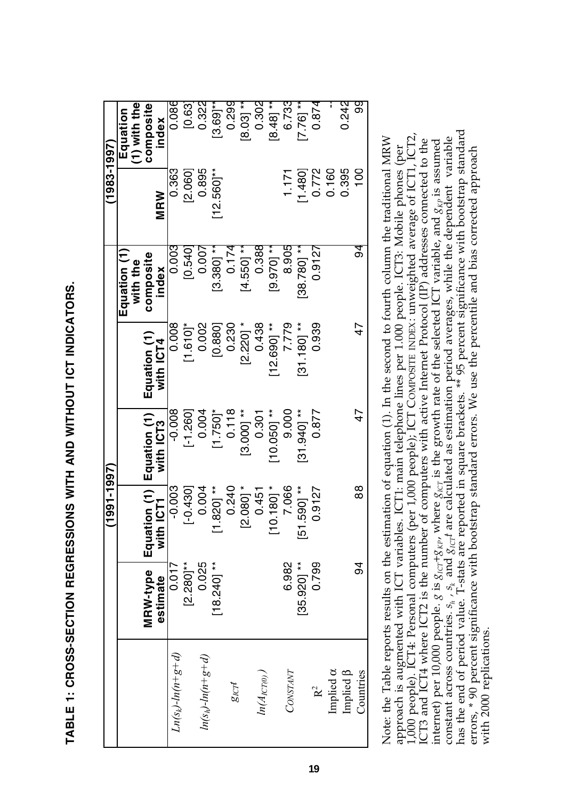| ֚֚֡֬<br>֧֚֚֚֚֚֚֚֚֚֚֚֝֝֝<br>ׇ֧֖֖֖֧֖֖֖֧֚֚֚֚֚֚֚֚֚֚֚֚֚֚֚֚֚֚֚֚֚֚֚֚֝֝֝֝֝֝֝֬֝֝֬֝֬֝֬֝֬֝֬֝֬֝֬֝֬֝֬֝֬֝֬ |
|----------------------------------------------------------------------------------------------|
|                                                                                              |
|                                                                                              |
|                                                                                              |
|                                                                                              |
|                                                                                              |
|                                                                                              |
|                                                                                              |
|                                                                                              |
|                                                                                              |
|                                                                                              |
|                                                                                              |
|                                                                                              |
|                                                                                              |
|                                                                                              |
|                                                                                              |
|                                                                                              |
|                                                                                              |
|                                                                                              |
|                                                                                              |
|                                                                                              |
|                                                                                              |
|                                                                                              |
|                                                                                              |
|                                                                                              |
|                                                                                              |
|                                                                                              |
|                                                                                              |
| ׇ֠                                                                                           |
|                                                                                              |
| ֚֚֚֬<br>$\overline{\phantom{a}}$                                                             |
|                                                                                              |
|                                                                                              |
|                                                                                              |
| ֠                                                                                            |
|                                                                                              |
|                                                                                              |
|                                                                                              |
|                                                                                              |
|                                                                                              |
| ֖֖֖֖֪֪ׅ֖֪֪ׅ֖֪֪֪ׅ֖֚֚֚֚֚֚֚֚֚֚֚֚֚֚֚֚֬֝֝֝֝֝֝֝֝                                                   |
|                                                                                              |
|                                                                                              |
|                                                                                              |
|                                                                                              |
|                                                                                              |
|                                                                                              |
|                                                                                              |
|                                                                                              |
|                                                                                              |
|                                                                                              |
|                                                                                              |
|                                                                                              |

|                              |               | $(1991 - 1997)$                       |               |               |                          | $(1983 - 1997)$        |                            |
|------------------------------|---------------|---------------------------------------|---------------|---------------|--------------------------|------------------------|----------------------------|
|                              |               |                                       |               |               | Equation (1)<br>with the |                        | $(1)$ with the<br>Equation |
|                              | MRW-type      | ion(1)<br>Equat                       | Equation (1)  | Equation (1)  | composite                |                        | composite                  |
|                              | estimate      | with ICT1                             | with ICT3     | with ICT4     | index                    | <b>MRW</b>             | index                      |
| $Ln(sk)-ln(n+g+d)$           | 0.017         | $-0.003$                              | $-0.008$      | 0.008         | 0.003                    | 0.363                  | 0.086                      |
|                              | $[2.280]$ **  | $[-0.430]$                            | $[-1.260]$    | $[1.610]$ *   | [0.540]                  | [2.060]                | [0.63]                     |
| $ln(s_h) - ln(n + g + d)$    | 0.025         | 0.004                                 | 0.004         | 0.002         | 0.007                    | 0.895                  | 0.322                      |
|                              | $[18.240]$ ** | .8201**                               | $[1.750]$ *   | [0.880]       | $[3.380]$ **             | $12.560$ <sup>**</sup> | $[3.69]^{*}$               |
| $g_{\mathcal{K}\mathcal{T}}$ |               | 0.240                                 | 0.118         | 0.230         | 0.174                    |                        | 0.299                      |
|                              |               | $2.080$ ] $*$                         | $[3.000]$ **  | $[2.220]$ *   | $4.5501**$               |                        | $[8.03]$ **                |
| $ln(A_{ICT(0)})$             |               | 0.451                                 | 0.301         | 0.438         | 0.388                    |                        | 0.302                      |
|                              |               | $0.180]$ *<br>$\overline{\mathbf{r}}$ | $10.050$ ] ** | $12.6901**$   | $[9.970]$ **             |                        | $[8.48]$ **                |
| CONSTANT                     | 6.982         | 7.066                                 | 9.000         | 7.779         | 8.905                    | 1.171                  | 6.733                      |
|                              | $[35.920]$ ** | 5901 **<br><u>یا</u>                  | "31.940 **    | $[31.180]$ ** | 38.7801 **               | [1.480]                | $[7.76]$ **                |
| R <sup>2</sup>               | 0.799         | 0.9127                                | 0.877         | 0.939         | 0.9127                   | 0.772                  | 0.874                      |
| Implied $\alpha$             |               |                                       |               |               |                          | 0.160                  |                            |
| Implied $\beta$              |               |                                       |               |               |                          | 0.395                  | 0.242                      |
| Countries                    | 94            | 88                                    | 4<br>7        | こ             | ত<br>ত                   | 100                    | တ္တ                        |
|                              |               |                                       |               |               |                          |                        |                            |

has the end of period value. T-stats are reported in square brackets. \*\* 95 percent significance with bootstrap standard has the end of period value. T-stats are reported in square brackets. \*\* 95 percent significance with bootstrap standard 1,000 people). ICT4: Personal computers (per 1,000 people); ICT COMPOSITE INDEX: unweighted average of ICT1, ICT2, 1,000 people). ICT4: Personal computers (per 1,000 people); ICT COMPOSITE INDEX: unweighted average of ICT1, ICT2, ICT3 and ICT4 where ICT2 is the number of computers with active Internet Protocol (IP) addresses connected to the internet) per 10,000 people. *g* is  $g_{iCT} + g_{Kp}$ , where  $g_{iCT}$  is the growth rate of the selected ICT variable, and  $g_{Kp}$  is assumed constant across countries.  $s_h$ ,  $s_k$  and  $g_{iCT}$  are calculated as estimation perio Note: the Table reports results on the estimation of equation (1). In the second to fourth column the traditional MRW Note: the Table reports results on the estimation of equation (1). In the second to fourth column the traditional MRW  $g_{\text{ICT}}$ t are calculated as estimation period averages, while the dependent variable ICT3 and ICT4 where ICT2 is the number of computers with active Internet Protocol (IP) addresses connected to the  $g_{\text{IGT}}$  is the growth rate of the selected ICT variable, and  $g_{\text{KP}}$  is assumed approach is augmented with ICT variables. ICT1: main telephone lines per 1.000 people. ICT3: Mobile phones (per errors, \* 90 percent significance with bootstrap standard errors. We use the percentile and bias corrected approach approach is augmented with ICT variables. ICT1: main telephone lines per 1.000 people. ICT3: Mobile phones (per errors, \* 90 percent significance with bootstrap standard errors. We use the percentile and bias corrected approach  $g_{\text{ICT}}+g_{\text{KP}}$ , where constant across countries.  $s_h$  ,  $s_k$  and internet) per 10,000 people. with 2000 replications. with 2000 replications.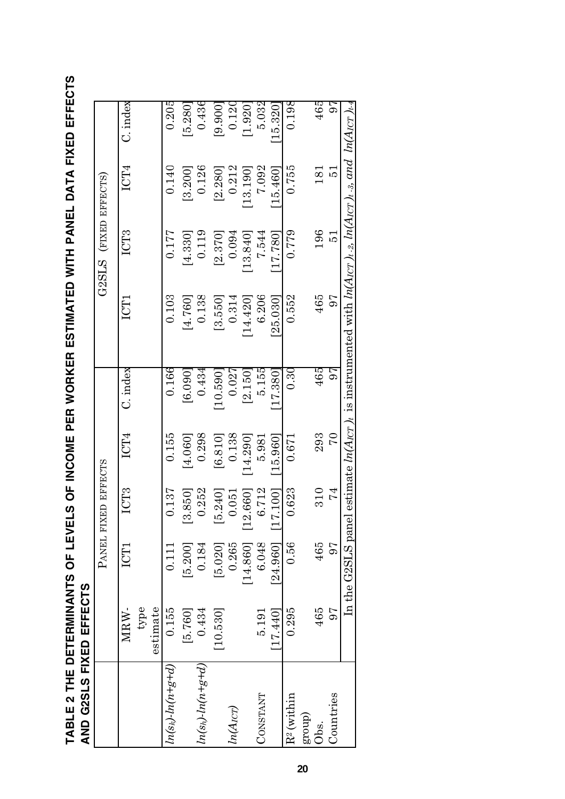TABLE 2 THE DETERMINANTS OF LEVELS OF INCOME PER WORKER ESTIMATED WITH PANEL DATA FIXED EFFECTS<br>AND G2SLS FIXED EFFECTS **TABLE 2 THE DETERMINANTS OF LEVELS OF INCOME PER WORKER ESTIMATED WITH PANEL DATA FIXED EFFECTS AND G2SLS FIXED EFFECTS**

|                         | י<br>ו<br>i |                       |                     |                |            |                                                                                                           |                       |          |             |
|-------------------------|-------------|-----------------------|---------------------|----------------|------------|-----------------------------------------------------------------------------------------------------------|-----------------------|----------|-------------|
|                         |             |                       | PANEL FIXED EFFECTS |                |            |                                                                                                           | G2SLS (FIXED EFFECTS) |          |             |
|                         | MRW-        | ICT1                  | ICT3                | ICT4           | $C.$ index | ICT1                                                                                                      | ICT3                  | ICT4     | $C$ . index |
|                         | type        |                       |                     |                |            |                                                                                                           |                       |          |             |
|                         | estimate    |                       |                     |                |            |                                                                                                           |                       |          |             |
| $ln(s_k)$ - $ln(n+g+d)$ | 0.155       | 0.111                 | 0.137               | 0.155          | 0.166      | 0.103                                                                                                     | 0.177                 | 0.140    | 0.205       |
|                         | [5.760]     | [5.200]               | [3.850]             | 4.060]         | [6.090]    | [4.760]                                                                                                   | [4.330]               | [3.200]  | 5.280       |
| $ln(s_h)$ - $ln(n+g+d)$ | 0.434       | 0.184                 | 0.252               | 0.298          | 0.434      | 0.138                                                                                                     | 0.119                 | 0.126    | $0.436\,$   |
|                         | [10.530]    | [5.020]               | [5.240]             | [6.810]        | [0.550]    | [3.550]                                                                                                   | [2.370]               | [2.280]  | [9.900]     |
| $ln(A_{ICT})$           |             | 0.265                 | 0.051               | 0.138          | 0.027      | 0.314                                                                                                     | 0.094                 | 0.212    | 0.120       |
|                         |             | [14, 860]             | [12.660]            | 14.290]        | [2.150]    | 14.420                                                                                                    | 13.840                | 13.190]  | [1.920]     |
| CONSTANT                | 5.191       | 6.048                 | 6.712               | 5.981          | 5.155      | 6.206                                                                                                     | 7.544                 | 7.092    | 5.032       |
|                         | [17.440]    | $[24.960]$ $[17.100]$ |                     | 15.960         | 17.380     | 25.030                                                                                                    | 17.780]               | 15.460   | 15.320      |
| $R^2$ (within           | 0.295       | 0.56                  | 0.623               | 0.671          | $0.30\,$   | 0.552                                                                                                     | 0.779                 | 0.755    | 0.198       |
| group)                  |             |                       |                     |                |            |                                                                                                           |                       |          |             |
| Obs.                    | 465         | 465                   | 310                 | 293            | 465        | 465                                                                                                       | 196                   | 181      | 465         |
| Countries               | 56          | 97                    | 74                  | $\overline{C}$ | 97         | 97                                                                                                        | <u>ភ</u>              | <u>ದ</u> | 97          |
|                         |             | In the G2SLS panel    |                     |                |            | estimate $ln(A_{ICT})_t$ is instrumented with $ln(A_{ICT})_t$ , $ln(A_{ICT})_t$ , and $ln(A_{ICT})_{t-4}$ |                       |          |             |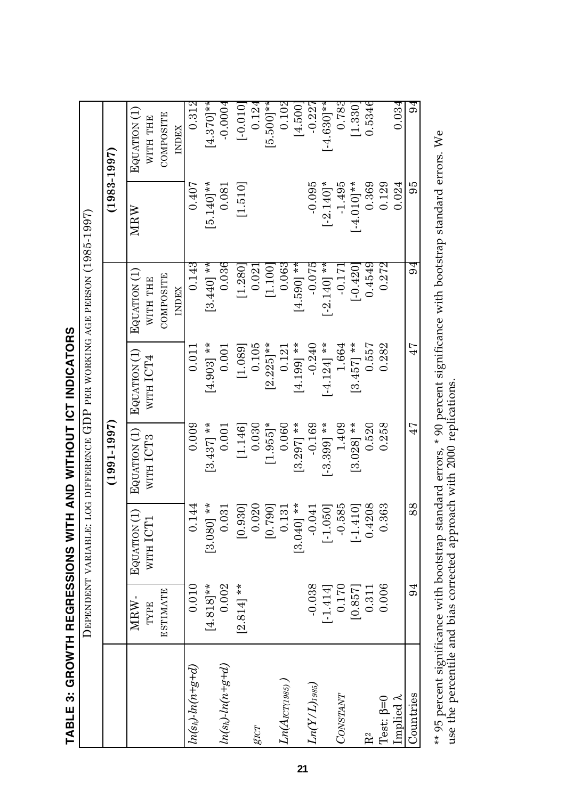| TABLE 3: GROWTH REGRESSIONS WITH AND WITHOUT ICT INDICATORS |  |
|-------------------------------------------------------------|--|
|                                                             |  |
|                                                             |  |

|                         |                 | DEPENDENT VARIABLE:                          | LOG DIFFERENCE GDP PER WORKING AGE PERSON (1985-1997) |                           |                          |                 |                          |
|-------------------------|-----------------|----------------------------------------------|-------------------------------------------------------|---------------------------|--------------------------|-----------------|--------------------------|
|                         |                 |                                              | $(1991 - 1997)$                                       |                           |                          | $(1983 - 1997)$ |                          |
|                         | MRW-<br>TYPE    | $\widehat{\ominus}$<br>WITH ICT1<br>EQUATION | EQUATION (1)<br>WITH ICT3                             | EQUATION (1)<br>WITH ICT4 | Equation (1)<br>WITH THE | MRW             | EQUATION (1)<br>WITH THE |
|                         | <b>ESTIMATE</b> |                                              |                                                       |                           | COMPOSITE                |                 | COMPOSITE                |
|                         |                 |                                              |                                                       |                           | <b>INDEX</b>             |                 | <b>INDEX</b>             |
| $ln(s_k)$ - $ln(n+g+d)$ | 0.010           | .144<br>$\dot{\circ}$                        | 0.009                                                 | 0.011                     | 0.143                    | 0.407           | 0.312                    |
|                         | $[4.818]$ **    | $[3.080]$ **                                 | $\left[3.437\right]$ **                               | $[4.903]$ **              | $[3.440]$ **             | $[5.140]$ **    | $[4.370]**$              |
| $ln(s_h)$ - $ln(n+g+d)$ | 0.002           | 031<br>$\dot{\circ}$                         | 0.001                                                 | 0.001                     | 0.036                    | 0.081           | $-0.0004$                |
|                         | $[2.814]$ **    | [0.930]                                      | [1.146]                                               | [1.089]                   | [1.280]                  | [1.510]         | $[-0.010]$               |
| $g_{ICT}$               |                 | 020<br>$\dot{\circ}$                         | 0.030                                                 | 0.105                     | 0.021                    |                 | 0.124                    |
|                         |                 | [0.790]                                      | $[1.955]$ *                                           | $[2.225]$ **              | [1.100]                  |                 | $[5.500]$ **             |
| $Ln(A_{ICT(1985)})$     |                 | <b>131</b><br>$\dot{\circ}$                  | 0.060                                                 | 0.121                     | 0.063                    |                 | 0.102                    |
|                         |                 | $[3.040]$ **                                 | $[3.297]$ **                                          | $[4.199]$ **              | $[4.590]$ **             |                 | [4.500]                  |
| $Ln(Y/L)_{1985})$       | $-0.038$        | 041<br><u>়</u>                              | $-0.169$                                              | $-0.240$                  | $-0.075$                 | $-0.095$        | $-0.227$                 |
|                         | $[-1.414]$      | 050]<br>$[-1.0]$                             | $[-3.399]$ **                                         | $[-4.124]$ **             | $[-2.140]$ **            | $[-2.140]$ *    | $[-4.630]$ **            |
| CONSTANT                | 0.170           | 585<br>$\dot{\mathsf{C}}$                    | 1.409                                                 | 1.664                     | $-0.171$                 | $-1.495$        | 0.783                    |
|                         | [0.857]         | $[-1.410]$                                   | $[3.028]$ **                                          | $[3.457]$ **              | $[-0.420]$               | $[-4.010]$ **   | [1.330]                  |
| R <sup>2</sup>          | 0.311           | 208<br>0.4                                   | 0.520                                                 | 0.557                     | 0.4549                   | 0.369           | 0.5346                   |
| Test: $\beta=0$         | 0.006           | 363<br>$\dot{\circ}$                         | 0.258                                                 | 0.282                     | 0.272                    | 0.129           |                          |
| Implied $\lambda$       |                 |                                              |                                                       |                           |                          | 0.024           | 0.034                    |
| Countries               | 94              | 88                                           | 47                                                    | 47                        | ত্র<br>০                 | 56              | 94                       |
|                         |                 |                                              |                                                       |                           |                          |                 |                          |

\*\* 95 percent significance with bootstrap standard errors, \* 90 percent significance with bootstrap standard errors. We use the percentile and bias corrected approach with 2000 replications. \*\* 95 percent significance with bootstrap standard errors, \* 90 percent significance with bootstrap standard errors. We use the percentile and bias corrected approach with 2000 replications.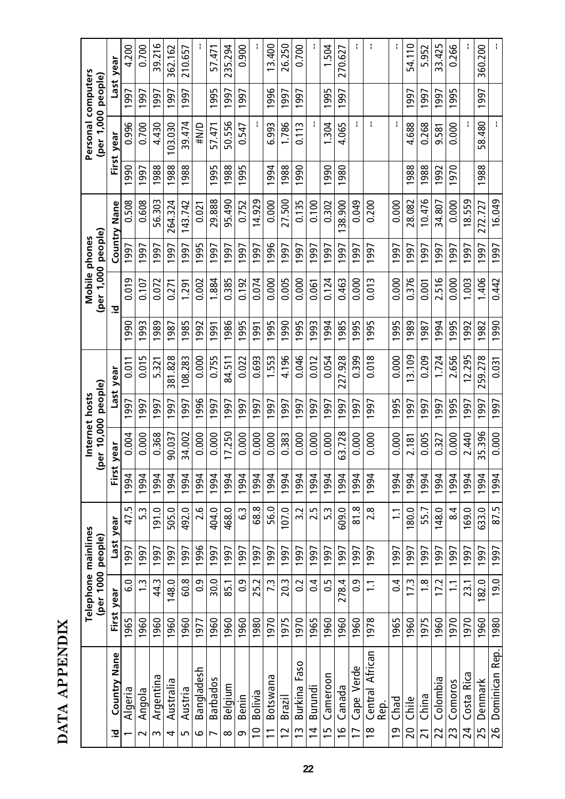| ř           |  |
|-------------|--|
|             |  |
| ć<br>÷<br>נ |  |
| F           |  |
|             |  |
| E           |  |
|             |  |
|             |  |

|                                          |      | Telephone mainlines<br>(per 1000 people) |      |                | ತಿ    | Internet hosts<br>er 10,000 | people) |           |      | (per 1,000 people) | Mobile phones |                     |      | Personal computers<br>(per 1,000 people) |      |           |
|------------------------------------------|------|------------------------------------------|------|----------------|-------|-----------------------------|---------|-----------|------|--------------------|---------------|---------------------|------|------------------------------------------|------|-----------|
| <b>Country Nane</b><br><u>호</u>          |      | First year                               |      | Last year      | First | year                        |         | Last year |      | 으                  |               | <b>Country Nane</b> |      | First year                               |      | Last year |
| Algeria                                  | 1965 | 0.<br>ق                                  | 1997 | 47.5           | 1994  | 0.004                       | 997     | 0.011     | 1990 | 0.019              | 1997          | 0.508               | 990  | 0.996                                    | 1997 | 4.200     |
| Angola<br>$\sim$                         | 1960 | $\ddot{1}$                               | 1997 | 5.3            | 1994  | 0.000                       | 997     | 0.015     | 1993 | 0.107              | <b>1997</b>   | 0.608               | 997  | 0.700                                    | 997  | 0.700     |
| Argentina<br>S                           | 1960 | 44.3                                     | 1997 | 191.0          | 1994  | 0.368                       | 997     | 5.321     | 1989 | 0.072              | 997           | 56.303              | 988  | 4.430                                    | 997  | 39.216    |
| Australia<br>4                           | 1960 | 148.0                                    | 1997 | 505.0          | 1994  | 90.037                      | 997     | 381.828   | 1987 | 0.271              | 997           | 264.324             | 988  | 03.030                                   | 997  | 362.162   |
| Austria<br>5                             | 1960 | 60.8                                     | 1997 | 492.0          | 1994  | 34.002                      | 997     | 108.283   | 1985 | 1.291              | 997           | 143.742             | 988  | 39.474                                   | 1997 | 210.657   |
| Bangladesh<br>ٯ                          | 1977 | $\overline{0}$ .                         | 1996 | 2.6            | 1994  | 0.000                       | 996     | 0.000     | 1992 | 0.002              | 995           | 0.021               |      | #N/D                                     |      |           |
| <b>Barbados</b><br>L                     | 1960 | 30.0                                     | 1997 | 404.0          | 1994  | 0.000                       | 997     | 0.755     | 1991 | 1.884              | 997           | 29.888              | 995  | 57.471                                   | 995  | 57.471    |
| Belgium<br>∞                             | 1960 | 85.1                                     | 1997 | 468.0          | 1994  | 17.250                      | 997     | 84.511    | 1986 | 0.385              | 997           | 95.490              | 988  | 50.556                                   | 1997 | 235.294   |
| Benin<br>ഗ                               | 1960 | $\overline{0}$ .                         | 1997 | C.3            | 1994  | 0.000                       | 997     | 0.022     | 1995 | 0.192              | 997           | 0.752               | 995  | 0.547                                    | 1997 | 0.900     |
| <b>Bolivia</b><br>$\Xi$                  | 1980 | 25.2                                     | 1997 | 68.8           | 1994  | 0.000                       | 997     | 0.693     | 1991 | 0.074              | 997           | 14.929              |      |                                          |      |           |
| Botswana                                 | 1970 | 7.3                                      | 1997 | 56.0           | 1994  | 0.000                       | 997     | 1.553     | 995  | 0.000              | 996           | 0.000               | 994  | 6.993                                    | 996  | 13.400    |
| Brazil<br>$\sim$                         | 1975 | 20.3                                     | 1997 | 107.0          | 1994  | 0.383                       | 997     | 4.196     | 1990 | 0.005              | 997           | 27.500              | 988  | 1.786                                    | 997  | 26.250    |
| Faso<br>Burkina<br>S                     | 1970 | $\overline{0}$                           | 1997 | 3.2            | 1994  | 0.000                       | 997     | 0.046     | 1995 | 0.000              | 997           | 0.135               | 990  | 0.113                                    | 1997 | 0.700     |
| Burundi<br>$\overline{4}$                | 1965 | $\overline{0}$                           | 1997 | 2.5            | 1994  | 0.000                       | 997     | 0.012     | 1993 | 0.061              | 997           | 0.100               |      |                                          |      |           |
| Cameroon<br>$\overline{1}$               | 1960 | $\overline{0}$ .                         | 1997 | 5.3            | 1994  | 0.000                       | 997     | 0.054     | 1994 | 0.124              | 997           | 0.302               | 990  | 1.304                                    | 995  | 1.504     |
| Canada<br>$\frac{6}{1}$                  | 1960 | 278.4                                    | 1997 | 609.0          | 1994  | 63.728                      | 997     | 227.928   | 1985 | 0.463              | 997           | 38.900              | 980  | 4.065                                    | 1997 | 270.627   |
| Cape Verde<br>$\overline{1}$             | 1960 | 0.9                                      | 1997 | 81.8           | 1994  | 0.000                       | 997     | 0.399     | 1995 | 0.000              | 997           | 0.049               |      |                                          |      |           |
| Central African<br>Rep.<br>$\frac{8}{1}$ | 1978 | $\Xi$                                    | 1997 | 2.8            | 1994  | 0.000                       | 1997    | 0.018     | 1995 | 0.013              | 1997          | 0.200               |      |                                          |      |           |
| Chad<br>$\overline{0}$                   | 1965 | $\overline{0}$ .                         | 1997 | $\overline{1}$ | 1994  | 0.000                       | 995     | 0.000     | 995  | 0.000              | 997           | 0.000               |      |                                          |      |           |
| Chile<br>20                              | 1960 | 17.3                                     | 1997 | 180.0          | 1994  | 2.181                       | 997     | 3.109     | 1989 | 0.376              | 997           | 28.082              | 988  | 4.688                                    | 997  | 54.110    |
| China<br>$\overline{2}$                  | 1975 | $\frac{8}{1}$                            | 1997 | 55.7           | 994   | 0.005                       | 997     | 0.209     | 1987 | 0.001              | 997           | 10.476              | 1988 | 0.268                                    | 1997 | 5.952     |
| Colombia<br>22                           | 1960 | 17.2                                     | 1997 | 148.0          | 1994  | 0.327                       | 997     | 1.724     | 1994 | 2.516              | 997           | 34.807              | 1992 | 9.581                                    | 1997 | 33.425    |
| Comoros<br>23                            | 1970 | $\Xi$                                    | 1997 | 8.4            | 994   | 0.000                       | 995     | 2.656     | 995  | 0.000              | 997           | 0.000               | 970  | 0.000                                    | 995  | 0.266     |
| Costa Rica<br>24                         | 1970 | 23.1                                     | 1997 | 169.0          | 1994  | 2.440                       | 997     | 12.295    | 1992 | 1.003              | 997           | 18.559              |      |                                          |      |           |
| Denmark<br>25                            | 1960 | 182.0                                    | 1997 | 633.0          | 1994  | 35.396                      | 1997    | 259.278   | 1982 | 1.406              | 1997          | 272.727             | 1988 | 58.480                                   | 1997 | 360.200   |
| Dominican Rep.<br>26                     | 1980 | 19.0                                     | 1997 | 87.5           | 1994  | 0.000                       | 1997    | 0.031     | 1990 | 0.442              | 1997          | 16.049              |      |                                          |      |           |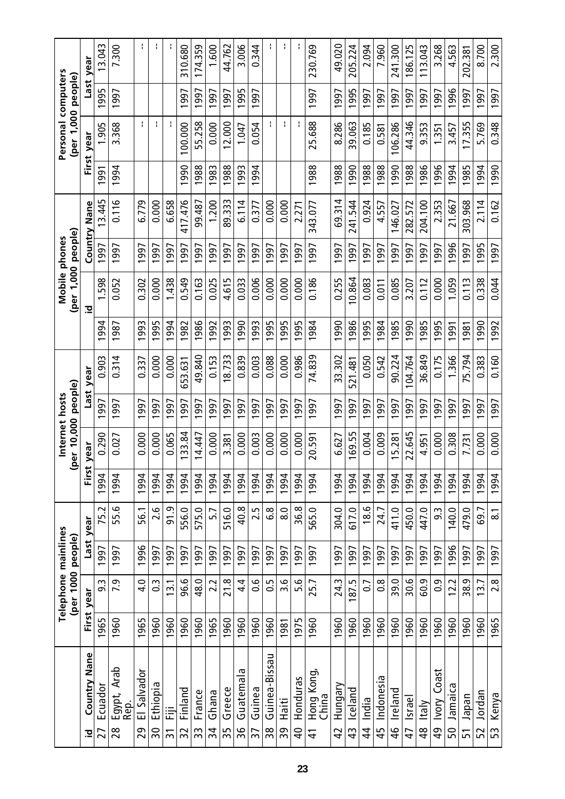|                                     |      | Telephone mainlines |      |                     |       |                     | Internet hosts |         |                | Mobile phones      |             |             |       | Personal computers |      |                        |
|-------------------------------------|------|---------------------|------|---------------------|-------|---------------------|----------------|---------|----------------|--------------------|-------------|-------------|-------|--------------------|------|------------------------|
|                                     |      | (per 1000 people)   |      |                     |       | (per 10,000 people) |                |         |                | (per 1,000 people) |             |             |       | (per 1,000 people) |      |                        |
| Nane<br>Country<br><u>호</u>         |      | First year          | Last | year                | First | year                | Last           | year    |                | <u>호</u>           | Country     | Nane        | First | year               | Last | year                   |
| Ecuador<br>27                       | 1965 | 93                  | 1997 | 75.2                | 1994  | 0.290               | 997            | 0.903   | 994            | 1.598              | $\sqrt{66}$ | 3.445       | 1991  | 1.905              | 1995 | 13.043                 |
| Arab<br>Egypt,<br>Rep.<br>28        | 1960 | <b>P.5</b>          | 1997 | 55.6                | 1994  | 0.027               | 1997           | 0.314   | 1987           | 0.052              | 1997        | 0.116       | 1994  | 3.368              | 1997 | 7.300                  |
| El Salvador<br>29                   | 1965 | 4.0                 | 1996 | 56.1                | 1994  | 0.000               | 1997           | 0.337   | 1993           | 0.302              | 1997        | 6.779       |       |                    |      |                        |
| Ethiopia<br>$\overline{5}$          | 1960 | $\frac{3}{2}$       | 1997 | 2.6                 | 1994  | 0.000               | 1997           | 0.000   | 995            | 0.000              | 1997        | 0.000       |       | ł                  |      | ł.                     |
| 這<br>$\overline{3}$                 | 1960 | 13.1                | 1997 | 91.9                | 1994  | 0.065               | 1997           | 0.000   | 994            | 1.438              | 1997        | 6.658       |       |                    |      |                        |
| Finland<br>32                       | 1960 | 96.6                | 1997 | 556.0               | 1994  | 33.84               | 997            | 653.631 | 982            | 0.549              | 997         | 417.476     | 990   | 100.000            | 1997 | 310.680                |
| France<br>33                        | 1960 | 48.0                | 1997 | 575.0               | 1994  | 14.447              | 1997           | 49.840  | 986            | 0.163              | 1997        | 99.487      | 1988  | 55.258             | 1997 | 174.359                |
| Ghana<br>$\overline{3}$             | 1965 | 2.2                 | 1997 | 5.7                 | 1994  | 0.000               | 1997           | 0.153   | 992            | 0.025              | 1997        | 1.200       | 1983  | 0.000              | 1997 | 1.600                  |
| Greece<br>35                        | 1960 | 21.8                | 1997 | 516.0               | 1994  | 3.381               | 1997           | 8.733   | 993            | 4.615              | 997         | 89.333      | 1988  | 12.000             | 1997 | 44.762                 |
| Guatemala<br>36                     | 1960 | 4.4                 | 1997 | 40.8                | 1994  | 0.000               | 1997           | 0.839   | 990            | 0.033              | 1997        | 6.114       | 1993  | 1.047              | 1995 | 3.006                  |
| Guinea<br>37                        | 1960 | 9.0                 | 1997 | 2.5                 | 1994  | 0.003               | 997            | 0.003   | 993            | 0.006              | 997         | 0.377       | 1994  | 0.054              | 1997 | 0.344                  |
| Guinea-Bissau<br>$\frac{8}{3}$      | 1960 | $\overline{0}$ .    | 1997 | $\frac{8}{6}$       | 1994  | 0.000               | 997            | 0.088   | 995            | 0.000              | 1997        | 0.000       |       | ł.                 |      |                        |
| Haiti<br>39                         | 1981 | 3.6                 | 1997 | $\overline{8.0}$    | 1994  | 0.000               | 1997           | 0.000   | 995            | 0.000              | 1997        | 0.000       |       | ł.                 |      | ł.                     |
| Honduras<br>$\overline{a}$          | 1975 | 5.6                 | 1997 | 36.8                | 1994  | 0.000               | 997            | 0.986   | 995            | 0.000              | 997         | 2.271       |       |                    |      |                        |
| Hong Kong<br>China<br>$\frac{4}{1}$ | 1960 | 25.7                | 1997 | 565.0               | 1994  | 20.591              | 1997           | 74.839  | 1984           | 0.186              | 1997        | 343.077     | 1988  | 25.688             | 1997 | 230.769                |
| Hungary<br>$\overline{4}$           | 1960 | 24.3                | 1997 | 304.0               | 1994  | 6.627               | 997            | 33.302  | 990            | 0.255              | 997         | 69.314      | 1988  | 8.286              | 997  | 49.020                 |
| Iceland<br>43                       | 1960 | 187.5               | 1997 | 617.0               | 1994  | 69.55               | 997            | 521.481 | 986            | 10.864             | 997         | 544<br>241. | 990   | 39.063             | 995  | 205.224                |
| India<br>$\frac{4}{3}$              | 1960 | $\overline{0}$      | 1997 | $\frac{6}{8}$       | 1994  | 0.004               | 1997           | 0.050   | 995            | 0.083              | 1997        | 0.924       | 1988  | 0.185              | 1997 | 2.094                  |
| Indonesia<br>45                     | 1960 | $\frac{8}{2}$       | 1997 | 24.7                | 1994  | 0.009               | 997            | 0.542   | 984            | 0.011              | 997         | 4.557       | 988   | 0.581              | 997  | 7.960                  |
| Ireland<br>46                       | 1960 | 39.0                | 1997 | 411.0               | 1994  | 5.281               | 997            | 90.224  | 985            | 0.085              | 997         | 146.027     | 1990  | 106.286            | 1997 | $\frac{300}{5}$<br>241 |
| Israel<br>47                        | 1960 | 30.6                | 1997 | 450.0               | 1994  | 22.645              | 1997           | 104.764 | 990            | 3.207              | 997         | 282.572     | 1988  | 44.346             | 1997 | 186.125                |
| Italy<br>$\frac{8}{3}$              | 1960 | 60.9                | 1997 | 447.0               | 1994  | 4.951               | 997            | 36.849  | 985            | 0.112              | 997         | 204.100     | 986   | 9.353              | 1997 | 13.043                 |
| Coast<br><b>Novl</b><br>QÞ          | 1960 | 0.9                 | 1997 | 9.3                 | 1994  | 0.000               | 997            | 0.175   | 995            | 0.000              | 997         | 2.353       | 1996  | 1.351              | 1997 | 3.268                  |
| Jamaica<br>50                       | 1960 | 12.2                | 1996 | 140.0               | 1994  | 0.308               | 997            | 1.366   | 591            | 1.059              | 996         | 21.667      | 1994  | 3.457              | 1996 | 4.563                  |
| <b>Inpapel</b><br>51                | 1960 | თ<br>38.            | 1997 | 479.0               | 1994  | 7.731               | 997            | 5.794   | 981            | 0.113              | 997         | 303.968     | 1985  | 17.355             | 1997 | 202.381                |
| Jordan<br>52                        | 1960 | 13.7                | 1997 | 69.7                | 1994  | 0.000               | 1997           | 0.383   | $\frac{1}{90}$ | 0.338              | 1995        | 2.114       | 1994  | 5.769              | 1997 | 8.700                  |
| Kenya<br>53                         | 1965 | 2.8                 | 1997 | $\overline{\infty}$ | 1994  | 0.000               | 1997           | 0.160   | 1992           | 0.044              | 1997        | 0.162       | 1990  | 0.348              | 1997 | 2.300                  |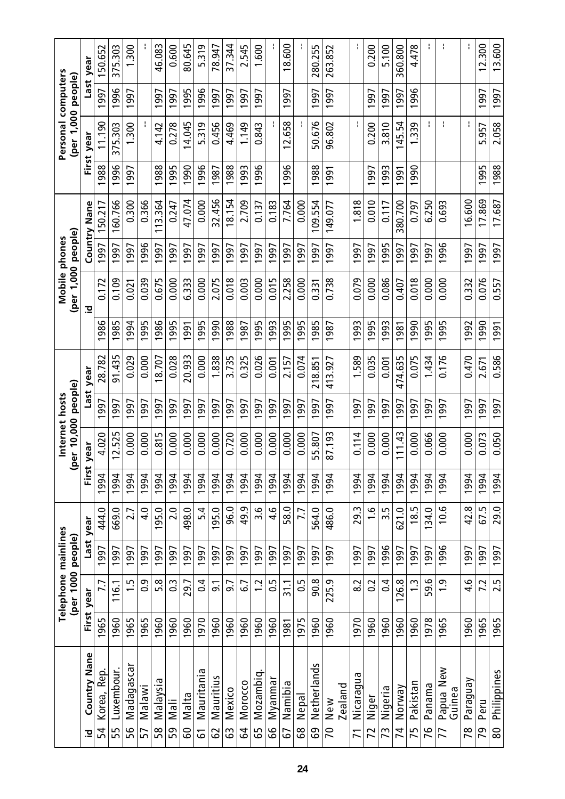|                           |      | Telephone mainlines |      |                |       |           | Internet hosts |         |      |                    | Mobile phones |             |       | Personal computers |      |            |
|---------------------------|------|---------------------|------|----------------|-------|-----------|----------------|---------|------|--------------------|---------------|-------------|-------|--------------------|------|------------|
|                           |      | (per 1000 people)   |      |                | ಿ     | er 10,000 | people)        |         |      | (per 1,000 people) |               |             |       | (per 1,000 people) |      |            |
| <b>Country Nane</b><br>으  |      | First year          |      | Last year      | First | year      | Last           | year    |      | 흐                  | Country       | <b>Nane</b> | First | year               |      | Last year  |
| Korea, Rep.<br>54         | 1965 | 7.7                 | 1997 | 444.0          | 1994  | 4.020     | 997            | 28.782  | 986  | 0.172              | 997           | 150.217     | 988   | 11.190             | 997  | 150.652    |
| Luxembour.<br>55          | 1960 | 116.1               | 1997 | 669.0          | 1994  | 2.525     | 1997           | 91.435  | 1985 | 0.109              | 1997          | 160.766     | 1996  | 375.303            | 1996 | 375.303    |
| Madagasca<br>56           | 1965 | $\ddot{1}$          | 1997 | 2.7            | 994   | 0.000     | 997            | 0.029   | 1994 | 0.021              | 1997          | 0.300       | 997   | <b>300</b>         | 997  | <b>300</b> |
| <b>Malawi</b><br>57       | 1965 | $\overline{0}$      | 1997 | 4.0            | 1994  | 0.000     | 1997           | 0.000   | 1995 | 0.039              | 1996          | 0.366       |       |                    |      |            |
| Malaysia<br>58            | 1960 | 5.8                 | 1997 | 195.0          | 1994  | 0.815     | 997            | 8.707   | 1986 | 0.675              | 997           | 113.364     | 1988  | 4.142              | 1997 | 46.083     |
| leN<br>59                 | 1960 | $\overline{0}$      | 1997 | 2.0            | 994   | 0.000     | 997            | 0.028   | 995  | 0.000              | 997           | 0.247       | 995   | 0.278              | 997  | 0.600      |
| Malta<br>င္ပ              | 1960 | 29.7                | 1997 | 498.0          | 1994  | 0.000     | 1997           | 20.933  | 1991 | 6.333              | 1997          | 47.074      | 0661  | 14.045             | 1995 | 80.645     |
| Mauritania<br>5           | 1970 | 0.4                 | 1997 | 5.4            | 1994  | 0.000     | 997            | 0.000   | 995  | 0.000              | 997           | 0.000       | 996   | 5.319              | 1996 | 5.319      |
| Mauritius<br>29           | 1960 | $\overline{5}$      | 1997 | 195.0          | 1994  | 0.000     | 997            | .838    | 990  | 2.075              | 997           | 32.456      | 1987  | 0.456              | 997  | 78.947     |
| Mexico<br>33              | 1960 | 9.7                 | 1997 | 96.0           | 1994  | 0.720     | 1997           | 3.735   | 1988 | 0.018              | 1997          | 18.154      | 1988  | 4.469              | 1997 | 37.344     |
| Morocco<br>54             | 1960 | 67                  | 1997 | 49.9           | 1994  | 0.000     | 997            | 0.325   | 987  | 0.003              | 1997          | 2.709       | 993   | 1.149              | 997  | 2.545      |
| Mozambiq<br>59            | 1960 | $\ddot{c}$          | 1997 | 3.6            | 994   | 0.000     | 997            | 0.026   | 995  | 0.000              | 997           | 0.137       | 996   | 0.843              | 997  | 1.600      |
| Myanmar<br>99             | 1960 | $\frac{5}{2}$       | 1997 | <u>م.</u>      | 1994  | 0.000     | 1997           | 0.001   | 1993 | 0.015              | 1997          | 0.183       |       |                    |      | ÷          |
| Namibia<br>57             | 1981 | 31.1                | 1997 | 58.0           | 1994  | 0.000     | 997            | 2.157   | 1995 | 2.258              | 1997          | 7.764       | 1996  | 12.658             | 1997 | 18.600     |
| Nepal<br>89               | 1975 | 50                  | 1997 | 7.7            | 1994  | 0.000     | 1997           | 0.074   | 1995 | 0.000              | 1997          | 0.000       |       |                    |      |            |
| Netherlands<br>69         | 1960 | 90.8                | 1997 | 564.0          | 1994  | 55.807    | 997            | 218.851 | 1985 | 0.331              | 997           | 109.554     | 988   | 50.676             | 1997 | 280.255    |
| New<br>$\overline{C}$     | 1960 | 225.9               | 1997 | 486.0          | 1994  | 87.193    | 1997           | 413.927 | 1987 | 0.738              | 1997          | 149.077     | 1991  | 96.802             | 1997 | 263.852    |
| Zealand                   |      |                     |      |                |       |           |                |         |      |                    |               |             |       |                    |      |            |
| Nicaragua<br>71           | 1970 | 8.2                 | 1997 | 29.3           | 1994  | 0.114     | 1997           | 1.589   | 1993 | 0.079              | 1997          | 1.818       |       |                    |      | f.         |
| Niger<br>72               | 1960 | $\Omega$            | 1997 | $\frac{6}{1}$  | 994   | 0.000     | 997            | 0.035   | 1995 | 0.000              | 1997          | 0.010       | 1997  | 0.200              | 1997 | 0.200      |
| Nigeria<br>73             | 1960 | 0.4                 | 1996 | 3.5            | 1994  | 0.000     | 1997           | 0.001   | 1993 | 0.086              | 1995          | 0.117       | 1993  | 3.810              | 1997 | 5.100      |
| Norway<br>74              | 1960 | 126.8               | 1997 | 621.0          | 1994  | 11.43     | 997            | 474.635 | 1981 | 0.407              | 997           | 380.700     | 991   | 45.54              | 1997 | 360.800    |
| Pakistan<br>75            | 1960 | $\tilde{c}$         | 1997 | 18.5           | 994   | 0.000     | 997            | 0.075   | 990  | 0.018              | 997           | 0.797       | 990   | 339                | 1996 | 4.478      |
| Panama<br>76              | 1978 | 59.6                | 1997 | 134.0          | 1994  | 0.066     | 1997           | 1.434   | 1995 | 0.000              | 1997          | 6.250       |       | ł                  |      | Ł          |
| Papua New<br>Guinea<br>77 | 1965 | $\frac{1}{2}$       | 1996 | $\frac{6}{10}$ | 1994  | 0.000     | 997            | 0.176   | 1995 | 0.000              | 1996          | 0.693       |       | ł                  |      | ł          |
| Paraguay<br>78            | 1960 | $\frac{6}{4}$       | 1997 | 42.8           | 1994  | 0.000     | 1997           | 0.470   | 1992 | 0.332              | 997           | 16.600      |       | ł.                 |      | ł.         |
| Peru<br>79                | 1965 | 7.2                 | 1997 | 67.5           | 1994  | 0.073     | 1997           | 2.671   | 1990 | 0.076              | 1997          | 17.869      | 1995  | 5.957              | 1997 | 12.300     |
| Philippines<br>80         | 1965 | 2.5                 | 1997 | 29.0           | 1994  | 0.050     | 1997           | 0.586   | 1991 | 0.557              | 1997          | 17.687      | 1988  | 2.058              | 1997 | 13.600     |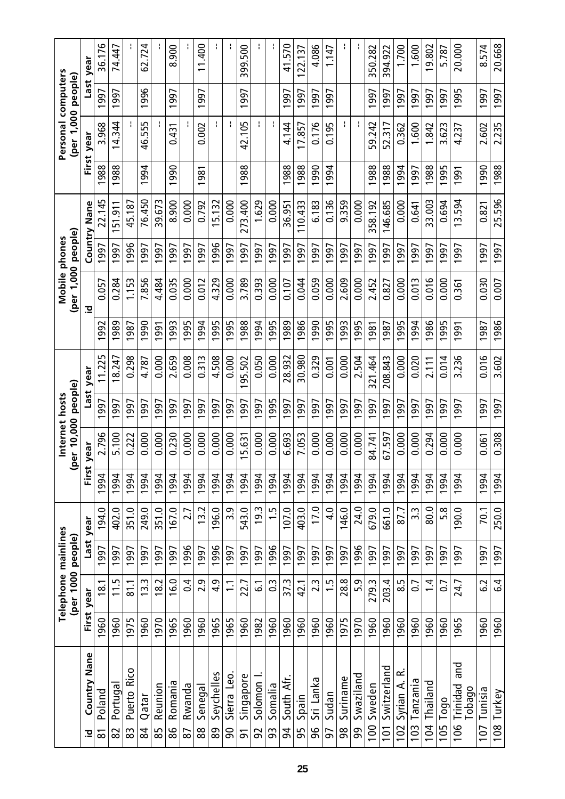|                                   |      | Telephone mainlines      |      |               |       |                   | Internet hosts |                          |      |                    | Mobile phones |                     |       | Personal computers |      |                 |
|-----------------------------------|------|--------------------------|------|---------------|-------|-------------------|----------------|--------------------------|------|--------------------|---------------|---------------------|-------|--------------------|------|-----------------|
|                                   |      | (per 1000 people)        |      |               | ౼     | er 10,000 people) |                |                          |      | (per 1,000 people) |               |                     |       | (per 1,000 people) |      |                 |
| <b>Country Nane</b><br>으          |      | First year               | Last | year          | First | year              | Last           | year                     |      | 흐                  |               | <b>Country Nane</b> | First | year               | Last | year            |
| Poland<br>్ద                      | 1960 | 18.1                     | 1997 | 194.0         | 1994  | 2.796             | 997            | S<br>11.22               | 992  | 0.057              | 997           | 22.145              | 1988  | 3.968              | 1997 | 36.176          |
| Portuga<br>82                     | 1960 | 115                      | 1997 | 402.0         | 1994  | 5.100             | 1997           | 8.247                    | 1989 | 0.284              | 1997          | 51.911              | 1988  | 14.344             | 1997 | 74.447          |
| <b>Rico</b><br>Puerto<br>83       | 1975 | $\overline{811}$         | 1997 | O.<br>351     | 1994  | 0.222             | 997            | 0.298                    | 987  | 1.153              | 996           | 45.187              |       |                    |      |                 |
| Qatar<br>84                       | 1960 | 3.3                      | 1997 | 249.0         | 1994  | 0.000             | 1997           | 4.787                    | 1990 | 7.856              | 1997          | 76.450              | 1994  | 46.555             | 1996 | 62.724          |
| Reunion<br>85                     | 1970 | $\sim$<br>$\frac{8}{10}$ | 1997 | 351.0         | 1994  | 0.000             | 997            | 0.000                    | 5g   | 4.484              | 997           | 39.673              |       |                    |      |                 |
| Romania<br>88                     | 1965 | 16.0                     | 1997 | 167.0         | 994   | 0.230             | 997            | 2.659                    | 993  | 0.035              | 997           | 8.900               | 1990  | 0.431              | 1997 | 8.900           |
| Rwanda<br>87                      | 1960 | $\overline{0}$           | 1996 | 2.7           | 1994  | 0.000             | 1997           | 0.008                    | 1995 | 0.000              | 1997          | 0.000               |       |                    |      |                 |
| Senegal<br>88                     | 1960 | 2.9                      | 1997 | 13.2          | 1994  | 0.000             | 1997           | 0.313                    | 994  | 0.012              | 1997          | 0.792               | 1981  | 0.002              | 1997 | 400<br>$\equiv$ |
| Seychelles<br>စ္စ                 | 1965 | $\frac{9}{4}$            | 1996 | 196.0         | 1994  | 0.000             | 1997           | 4.508                    | 995  | 4.329              | 996           | 5.132               |       |                    |      |                 |
| Sierra Leo.<br>ခ                  | 1965 | $\Xi$                    | 1997 | 3.9           | 1994  | 0.000             | 1997           | 0.000                    | 1995 | 0.000              | 1997          | 0.00                |       |                    |      |                 |
| Singapore<br>51                   | 1960 | 22.7                     | 1997 | 543.0         | 1994  | 5.631             | 1997           | 95.502                   | 988  | 3.789              | 997           | 273.400             | 1988  | 42.105             | 1997 | 500<br>399.     |
| Solomon<br>92                     | 1982 | <u>ی</u>                 | 1997 | 19.3          | 994   | 0.000             | 997            | 0.050                    | 994  | 0.393              | 997           | 1.629               |       | ł.                 |      | ÷.              |
| Somalia<br>93                     | 1960 | 3                        | 1996 | $\frac{5}{1}$ | 1994  | 0.000             | 1995           | 0.000                    | 1995 | 0.000              | 1997          | 0.000               |       | ł                  |      | ł               |
| €<br>South<br>54                  | 1960 | 37.3                     | 1997 | 107.0         | 1994  | 6.693             | 997            | 28.932                   | 989  | 0.107              | 1997          | 36.951              | 1988  | 4.144              | 1997 | 41.570          |
| Spain<br>56                       | 1960 | 42.1                     | 1997 | 403.0         | 1994  | 7.053             | 1997           | 30.980                   | 1986 | 0.044              | 1997          | 110.433             | 1988  | 17.857             | 1997 | 122.137         |
| Sri Lanka<br>96                   | 1960 | 2.3                      | 1997 | 17.0          | 1994  | 0.000             | 1997           | 0.329                    | 990  | 0.059              | 1997          | 6.183               | 1990  | 0.176              | 1997 | 4.086           |
| Sudan<br>57                       | 1960 | $\ddot{1}$               | 1997 | 4.0           | 994   | 0.000             | 997            | 0.001                    | 995  | 0.000              | 997           | 0.136               | 994   | 0.195              | 1997 | 1.147           |
| Suriname<br>98                    | 1975 | 28.8                     | 1997 | 146.0         | 1994  | 0.000             | 1997           | 0.000                    | 1993 | 2.609              | 1997          | 9.359               |       | ł.                 |      |                 |
| Swaziland<br>99                   | 1970 | 5.9                      | 1996 | 24.0          | 1994  | 0.000             | 1997           | 2.504                    | 995  | 0.000              | 1997          | 0.000               |       | f,                 |      |                 |
| Sweden<br>100                     | 1960 | 279.3                    | 1997 | 679.0         | 1994  | 84.741            | 1997           | .464<br>$\overline{321}$ | 981  | 2.452              | 1997          | 358.192             | 1988  | 59.242             | 1997 | 350.282         |
| Switzerland<br>101                | 1960 | 203.4                    | 1997 | 661.0         | 1994  | 67.597            | 1997           | 208.843                  | 1987 | 0.827              | 1997          | 146.685             | 1988  | 52.317             | 1997 | 394.922         |
| ≃<br>Syrian A.<br>10 <sub>2</sub> | 1960 | 8.5                      | 1997 | 87.7          | 1994  | 0.000             | 997            | 0.000                    | 995  | 0.000              | 1997          | 0.000               | 1994  | 0.362              | 1997 | 1.700           |
| Tanzania<br>103                   | 1960 | $\overline{0}$           | 1997 | 3.3           | 994   | 0.000             | 997            | 0.020                    | 994  | 0.013              | 997           | 0.641               | 1997  | 1.600              | 1997 | 1.600           |
| Thailand<br>104                   | 1960 | $1\overline{4}$          | 1997 | 80.0          | 1994  | 0.294             | 1997           | 2.111                    | 1986 | 0.016              | 1997          | 33.003              | 1988  | 1.842              | 1997 | 19.802          |
| Togo<br>105                       | 1960 | $\overline{0}$           | 1997 | 5.8           | 1994  | 0.000             | 1997           | 0.014                    | 995  | 0.00               | 997           | 0.694               | 1995  | 3.623              | 1997 | 5.787           |
| and<br>Trinidad<br>Tobago<br>106  | 1965 | 24.7                     | 1997 | 190.0         | 1994  | 0.000             | 1997           | 3.236                    | 1991 | 0.361              | 1997          | 13.594              | 1991  | 4.237              | 1995 | 20.000          |
| Tunisia<br>107                    | 1960 | ζ3                       | 1997 | 70.1          | 1994  | 0.061             | 1997           | 0.016                    | 1987 | 0.030              | 1997          | 0.821               | 1990  | 2.602              | 1997 | 8.574           |
| 108 Turkey                        | 1960 | $\overline{6}$           | 1997 | 250.0         | 1994  | 0.308             | 1997           | 3.602                    | 1986 | 0.007              | 1997          | 25.596              | 1988  | 2.235              | 1997 | 20.668          |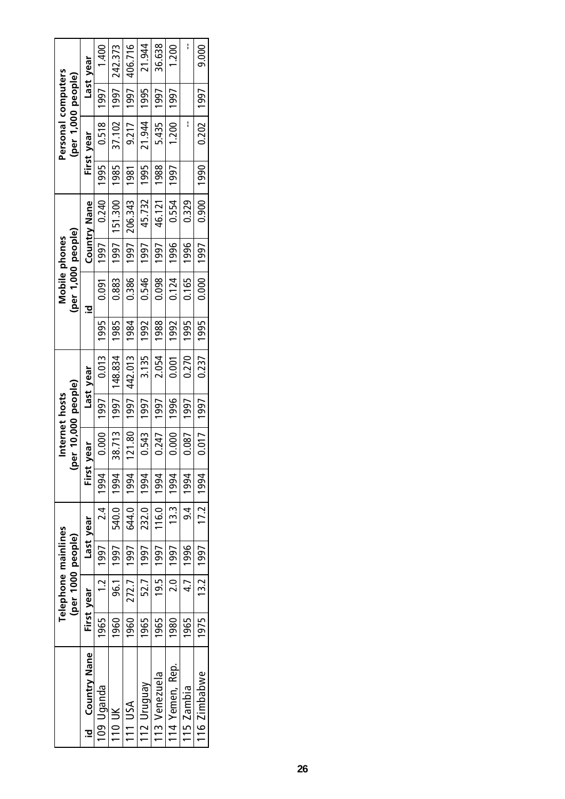|                                  |      |                  | Telephone mainlines<br>(per 1000 people) |                  | ≗           | er 10,000 people)<br>Internet hosts |      |                         |      | (per 1,000 people) | Mobile phones |                     |      | Personal computers<br>(per 1,000 people) |      |           |
|----------------------------------|------|------------------|------------------------------------------|------------------|-------------|-------------------------------------|------|-------------------------|------|--------------------|---------------|---------------------|------|------------------------------------------|------|-----------|
| <b>Country Nane</b><br><u>.a</u> |      | First year       | Last year                                |                  | First       | vear                                |      | Last year               |      | S                  |               | <b>Country Nane</b> |      | First year                               |      | Last year |
| 109 Uganda                       | 1965 | 1.2 l            | 1997                                     | $\frac{1}{24}$   | 1994        | 0.000                               | 1997 | 0.013   1995            |      | 0.091              | 1997          | 0.240               | 1995 | 0.518   1997                             |      | 1.400     |
| 110 UK                           | 1960 | 96.1             | $1997 +$                                 | 540.0            | 1994        | 38.713                              |      | 1997   148.834          | 1985 | 0.883              |               | 1997   151.300      | 1985 | 37.102                                   | 1997 | 242.373   |
| 111 USA                          | 1960 | 272.7            | $-1997$                                  | 644.0            | 1994        |                                     |      | $121.80$   1997 442.013 | 1984 | 0.386              |               | 1997   206.343      | 1981 | 9.217   1997                             |      | 406.716   |
| 112 Uruguay                      | 1965 | 52.7             | 1997                                     | 232.0            | 1994        | 0.543                               | 1997 | 3.135                   | 1992 | 0.546              | 1997          | 45.732              | 1995 | 21.944                                   | 1995 | 21.944    |
| 113 Venezuela                    | 1965 | 19.5             | $-1997$                                  | 116.0            | 1994        | 0.247                               | 1997 | 2.054                   | 1988 | 0.098              | 1997          | 46.121              | 1988 | 5.435                                    | 1997 | 36.638    |
| 114 Yemen, Rep.                  | 1980 | $\overline{2.0}$ | 1997                                     | $\frac{13.3}{ }$ | 1994        | 0.000                               | 1996 | 0.001                   | 1992 | 0.124              | 1996          | 0.554               | 1997 | 1.200                                    | 1997 | 1.200     |
| 115 Zambia                       | 1965 | 47               | 1996                                     | $\frac{4}{9}$    | 1994        | 0.087                               | 1997 | 0.270                   | 1995 | 0.165              | 1996          | 0.329               |      |                                          |      |           |
| 116 Zimbabwe                     | 1975 | 13.2             | 1997                                     |                  | 17.2   1994 | 0.017                               | 1997 | 0.237   1995            |      | 0.000              | 997           | 0.900               | 066  | 0.202   1997                             |      | 9.000     |